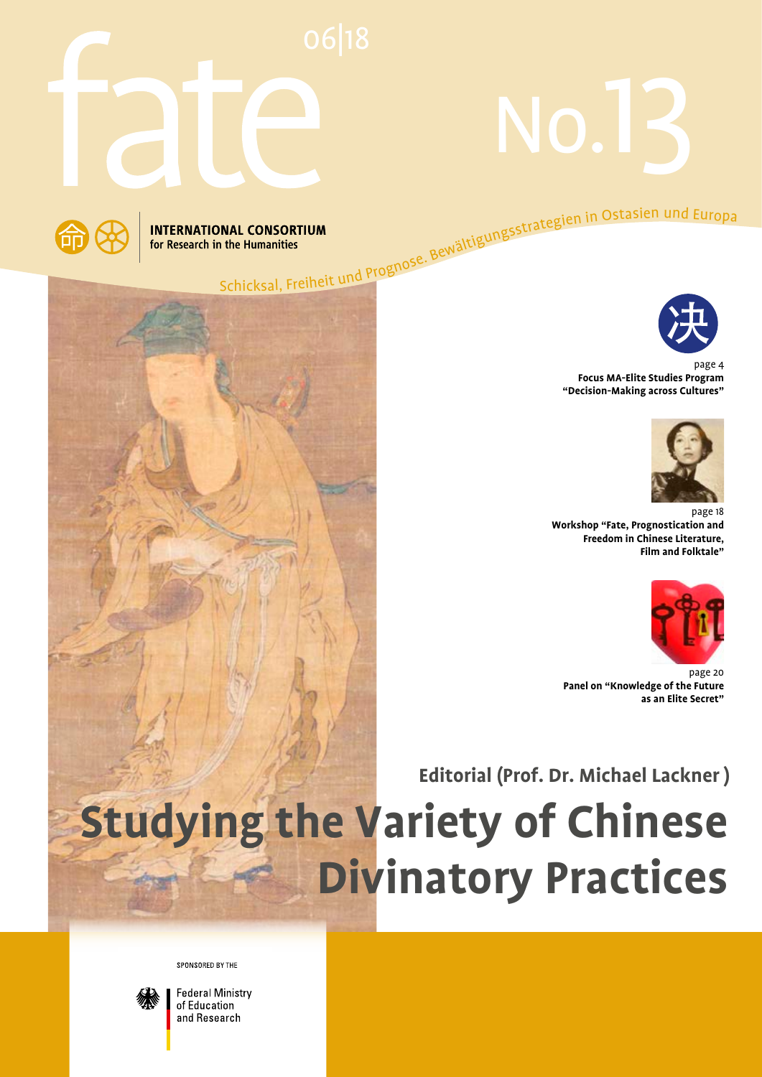# INTERNATIONAL CONSORTIUM<br>for Research in the Humanities<br>Schicksal, Freiheit und Prognose. Bewältigungsstrategien in Ostasien und Europa





page 4 **Focus MA-Elite Studies Program "Decision-Making across Cultures"**



page 18 **Workshop "Fate, Prognostication and Freedom in Chinese Literature, Film and Folktale"**



page 20 **Panel on "Knowledge of the Future as an Elite Secret"**

**Editorial (Prof. Dr. Michael Lackner )**

# **Studying the Variety of Chinese Divinatory Practices**

SPONSORED BY THE



**Federal Ministry** of Education and Research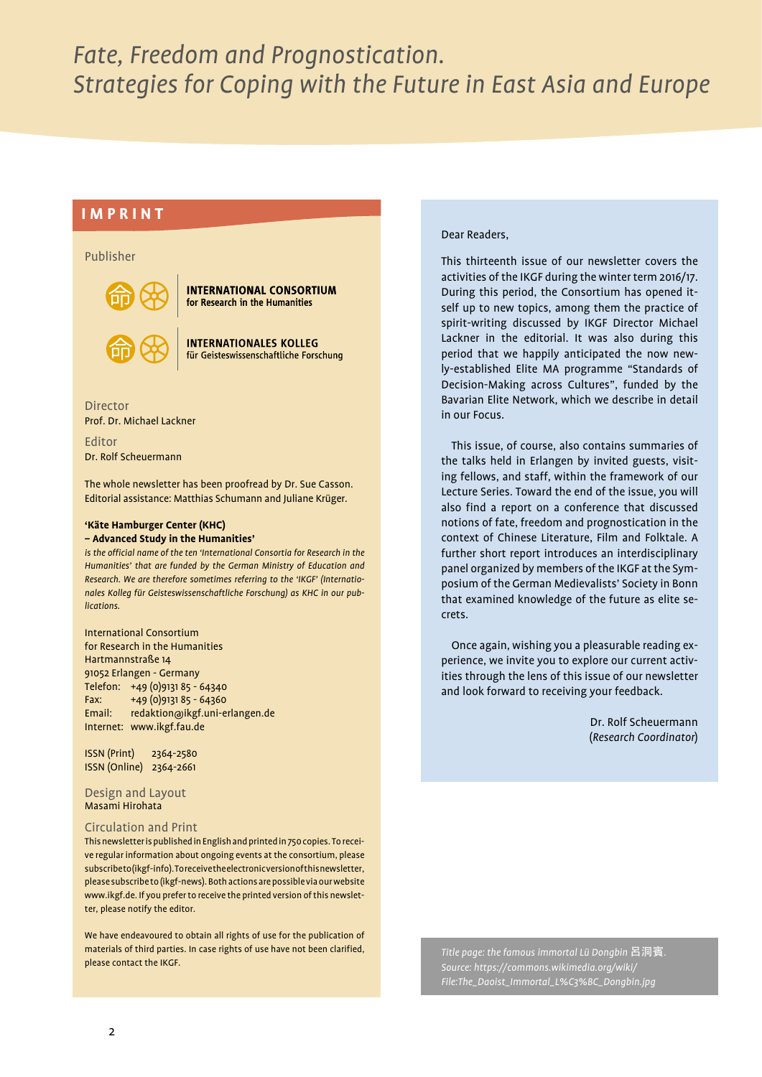# **IMPRINT**

# Publisher



**INTERNATIONAL CONSORTIUM** for Research in the Humanities

**INTERNATIONALES KOLLEG** für Geisteswissenschaftliche Forschung

Director Prof. Dr. Michael Lackner

Editor Dr. Rolf Scheuermann

The whole newsletter has been proofread by Dr. Sue Casson. Editorial assistance: Matthias Schumann and Juliane Krüger.

# **'Käte Hamburger Center (KHC)**

### **– Advanced Study in the Humanities'**

*is the official name of the ten 'International Consortia for Research in the Humanities' that are funded by the German Ministry of Education and Research. We are therefore sometimes referring to the 'IKGF' (Internationales Kolleg für Geisteswissenschaftliche Forschung) as KHC in our publications.*

# International Consortium

for Research in the Humanities Hartmannstraße 14 91052 Erlangen - Germany Telefon: +49 (0)9131 85 - 64340 Fax: +49 (0)9131 85 - 64360 Email: redaktion@ikgf.uni-erlangen.de Internet: www.ikgf.fau.de

ISSN (Print) 2364-2580 ISSN (Online) 2364-2661

Design and Layout Masami Hirohata

### Circulation and Print

This newsletter is published in English and printed in 750 copies. To receive regular information about ongoing events at the consortium, please subscribe to (ikgf-info). To receive the electronic version of this newsletter, please subscribe to (ikgf-news). Both actions are possible via our website www.ikgf.de. If you prefer to receive the printed version of this newsletter, please notify the editor.

We have endeavoured to obtain all rights of use for the publication of materials of third parties. In case rights of use have not been clarified, please contact the IKGF.

# Dear Readers,

This thirteenth issue of our newsletter covers the activities of the IKGF during the winter term 2016/17. During this period, the Consortium has opened itself up to new topics, among them the practice of spirit-writing discussed by IKGF Director Michael Lackner in the editorial. It was also during this period that we happily anticipated the now newly-established Elite MA programme "Standards of Decision-Making across Cultures", funded by the Bavarian Elite Network, which we describe in detail in our Focus.

This issue, of course, also contains summaries of the talks held in Erlangen by invited guests, visiting fellows, and staff, within the framework of our Lecture Series. Toward the end of the issue, you will also find a report on a conference that discussed notions of fate, freedom and prognostication in the context of Chinese Literature, Film and Folktale. A further short report introduces an interdisciplinary panel organized by members of the IKGF at the Symposium of the German Medievalists' Society in Bonn that examined knowledge of the future as elite secrets.

Once again, wishing you a pleasurable reading experience, we invite you to explore our current activities through the lens of this issue of our newsletter and look forward to receiving your feedback.

> Dr. Rolf Scheuermann (*Research Coordinator*)

*Title page: the famous immortal Lü Dongbin* 呂洞賓*. Source: https://commons.wikimedia.org/wiki/ File:The\_Daoist\_Immortal\_L%C3%BC\_Dongbin.jpg*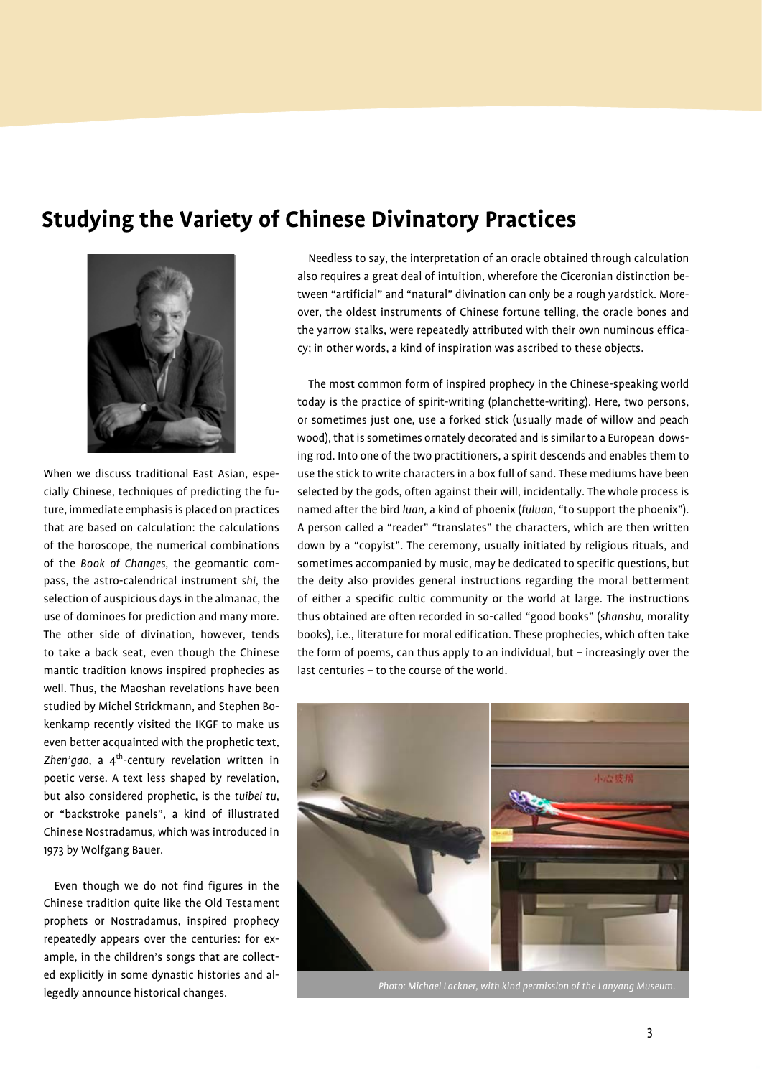# **Studying the Variety of Chinese Divinatory Practices**



When we discuss traditional East Asian, especially Chinese, techniques of predicting the future, immediate emphasis is placed on practices that are based on calculation: the calculations of the horoscope, the numerical combinations of the *Book of Changes*, the geomantic compass, the astro-calendrical instrument *shi*, the selection of auspicious days in the almanac, the use of dominoes for prediction and many more. The other side of divination, however, tends to take a back seat, even though the Chinese mantic tradition knows inspired prophecies as well. Thus, the Maoshan revelations have been studied by Michel Strickmann, and Stephen Bokenkamp recently visited the IKGF to make us even better acquainted with the prophetic text, Zhen'gao, a 4<sup>th</sup>-century revelation written in poetic verse. A text less shaped by revelation, but also considered prophetic, is the *tuibei tu*, or "backstroke panels", a kind of illustrated Chinese Nostradamus, which was introduced in 1973 by Wolfgang Bauer.

Even though we do not find figures in the Chinese tradition quite like the Old Testament prophets or Nostradamus, inspired prophecy repeatedly appears over the centuries: for example, in the children's songs that are collected explicitly in some dynastic histories and allegedly announce historical changes.

Needless to say, the interpretation of an oracle obtained through calculation also requires a great deal of intuition, wherefore the Ciceronian distinction between "artificial" and "natural" divination can only be a rough yardstick. Moreover, the oldest instruments of Chinese fortune telling, the oracle bones and the yarrow stalks, were repeatedly attributed with their own numinous efficacy; in other words, a kind of inspiration was ascribed to these objects.

The most common form of inspired prophecy in the Chinese-speaking world today is the practice of spirit-writing (planchette-writing). Here, two persons, or sometimes just one, use a forked stick (usually made of willow and peach wood), that is sometimes ornately decorated and is similar to a European dowsing rod. Into one of the two practitioners, a spirit descends and enables them to use the stick to write characters in a box full of sand. These mediums have been selected by the gods, often against their will, incidentally. The whole process is named after the bird *luan*, a kind of phoenix (*fuluan*, "to support the phoenix"). A person called a "reader" "translates" the characters, which are then written down by a "copyist". The ceremony, usually initiated by religious rituals, and sometimes accompanied by music, may be dedicated to specific questions, but the deity also provides general instructions regarding the moral betterment of either a specific cultic community or the world at large. The instructions thus obtained are often recorded in so-called "good books" (*shanshu*, morality books), i.e., literature for moral edification. These prophecies, which often take the form of poems, can thus apply to an individual, but – increasingly over the last centuries – to the course of the world.



*Photo: Michael Lackner, with kind permission of the Lanyang Museum.*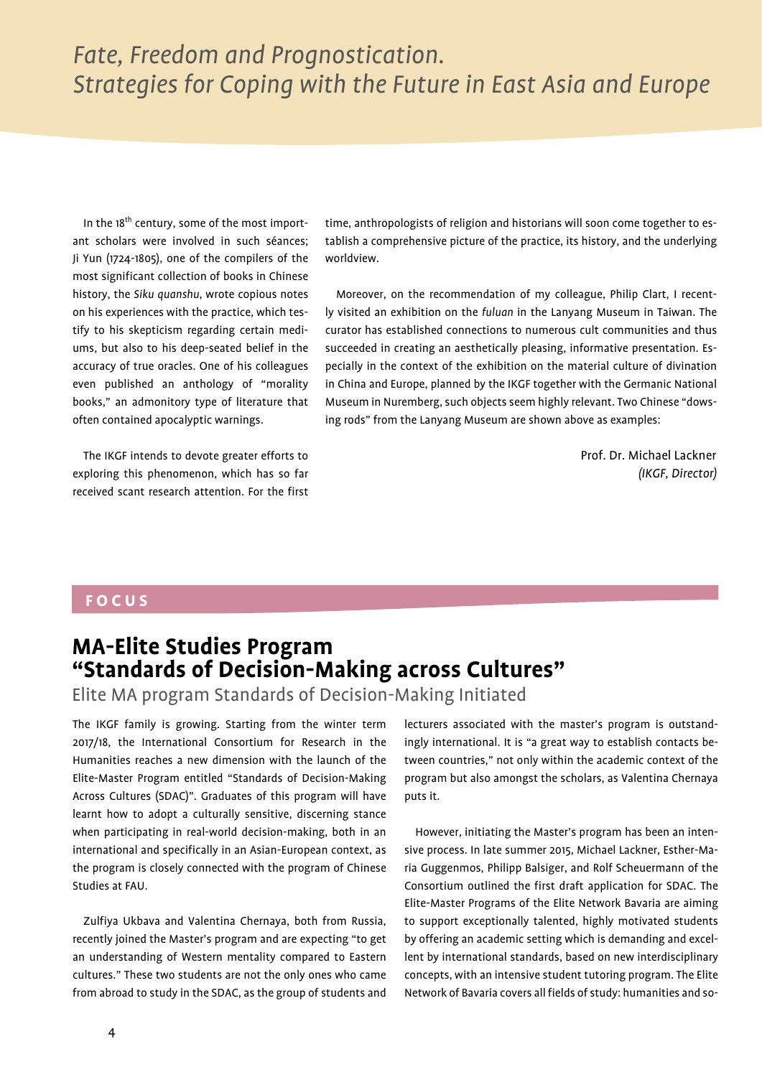In the 18<sup>th</sup> century, some of the most important scholars were involved in such séances; Ji Yun (1724-1805), one of the compilers of the most significant collection of books in Chinese history, the *Siku quanshu*, wrote copious notes on his experiences with the practice, which testify to his skepticism regarding certain mediums, but also to his deep-seated belief in the accuracy of true oracles. One of his colleagues even published an anthology of "morality books," an admonitory type of literature that often contained apocalyptic warnings.

The IKGF intends to devote greater efforts to exploring this phenomenon, which has so far received scant research attention. For the first

time, anthropologists of religion and historians will soon come together to establish a comprehensive picture of the practice, its history, and the underlying worldview.

Moreover, on the recommendation of my colleague, Philip Clart, I recently visited an exhibition on the *fuluan* in the Lanyang Museum in Taiwan. The curator has established connections to numerous cult communities and thus succeeded in creating an aesthetically pleasing, informative presentation. Especially in the context of the exhibition on the material culture of divination in China and Europe, planned by the IKGF together with the Germanic National Museum in Nuremberg, such objects seem highly relevant. Two Chinese "dowsing rods" from the Lanyang Museum are shown above as examples:

> Prof. Dr. Michael Lackner *(IKGF, Director)*

# **FOCUS**

# **MA-Elite Studies Program "Standards of Decision-Making across Cultures"**

Elite MA program Standards of Decision-Making Initiated

The IKGF family is growing. Starting from the winter term 2017/18, the International Consortium for Research in the Humanities reaches a new dimension with the launch of the Elite-Master Program entitled "Standards of Decision-Making Across Cultures (SDAC)". Graduates of this program will have learnt how to adopt a culturally sensitive, discerning stance when participating in real-world decision-making, both in an international and specifically in an Asian-European context, as the program is closely connected with the program of Chinese Studies at FAU.

Zulfiya Ukbava and Valentina Chernaya, both from Russia, recently joined the Master's program and are expecting "to get an understanding of Western mentality compared to Eastern cultures." These two students are not the only ones who came from abroad to study in the SDAC, as the group of students and

lecturers associated with the master's program is outstandingly international. It is "a great way to establish contacts between countries," not only within the academic context of the program but also amongst the scholars, as Valentina Chernaya puts it.

However, initiating the Master's program has been an intensive process. In late summer 2015, Michael Lackner, Esther-Maria Guggenmos, Philipp Balsiger, and Rolf Scheuermann of the Consortium outlined the first draft application for SDAC. The Elite-Master Programs of the Elite Network Bavaria are aiming to support exceptionally talented, highly motivated students by offering an academic setting which is demanding and excellent by international standards, based on new interdisciplinary concepts, with an intensive student tutoring program. The Elite Network of Bavaria covers all fields of study: humanities and so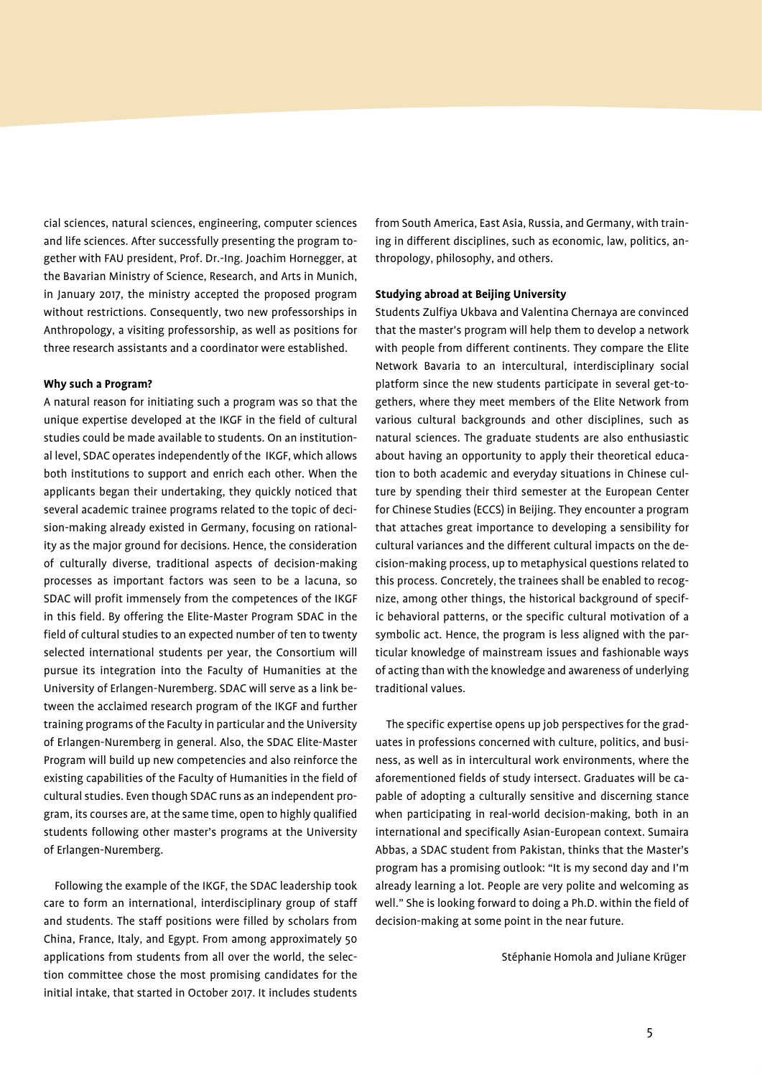cial sciences, natural sciences, engineering, computer sciences and life sciences. After successfully presenting the program together with FAU president, Prof. Dr.-Ing. Joachim Hornegger, at the Bavarian Ministry of Science, Research, and Arts in Munich, in January 2017, the ministry accepted the proposed program without restrictions. Consequently, two new professorships in Anthropology, a visiting professorship, as well as positions for three research assistants and a coordinator were established.

## **Why such a Program?**

A natural reason for initiating such a program was so that the unique expertise developed at the IKGF in the field of cultural studies could be made available to students. On an institutional level, SDAC operates independently of the IKGF, which allows both institutions to support and enrich each other. When the applicants began their undertaking, they quickly noticed that several academic trainee programs related to the topic of decision-making already existed in Germany, focusing on rationality as the major ground for decisions. Hence, the consideration of culturally diverse, traditional aspects of decision-making processes as important factors was seen to be a lacuna, so SDAC will profit immensely from the competences of the IKGF in this field. By offering the Elite-Master Program SDAC in the field of cultural studies to an expected number of ten to twenty selected international students per year, the Consortium will pursue its integration into the Faculty of Humanities at the University of Erlangen-Nuremberg. SDAC will serve as a link between the acclaimed research program of the IKGF and further training programs of the Faculty in particular and the University of Erlangen-Nuremberg in general. Also, the SDAC Elite-Master Program will build up new competencies and also reinforce the existing capabilities of the Faculty of Humanities in the field of cultural studies. Even though SDAC runs as an independent program, its courses are, at the same time, open to highly qualified students following other master's programs at the University of Erlangen-Nuremberg.

Following the example of the IKGF, the SDAC leadership took care to form an international, interdisciplinary group of staff and students. The staff positions were filled by scholars from China, France, Italy, and Egypt. From among approximately 50 applications from students from all over the world, the selection committee chose the most promising candidates for the initial intake, that started in October 2017. It includes students

from South America, East Asia, Russia, and Germany, with training in different disciplines, such as economic, law, politics, anthropology, philosophy, and others.

## **Studying abroad at Beijing University**

Students Zulfiya Ukbava and Valentina Chernaya are convinced that the master's program will help them to develop a network with people from different continents. They compare the Elite Network Bavaria to an intercultural, interdisciplinary social platform since the new students participate in several get-togethers, where they meet members of the Elite Network from various cultural backgrounds and other disciplines, such as natural sciences. The graduate students are also enthusiastic about having an opportunity to apply their theoretical education to both academic and everyday situations in Chinese culture by spending their third semester at the European Center for Chinese Studies (ECCS) in Beijing. They encounter a program that attaches great importance to developing a sensibility for cultural variances and the different cultural impacts on the decision-making process, up to metaphysical questions related to this process. Concretely, the trainees shall be enabled to recognize, among other things, the historical background of specific behavioral patterns, or the specific cultural motivation of a symbolic act. Hence, the program is less aligned with the particular knowledge of mainstream issues and fashionable ways of acting than with the knowledge and awareness of underlying traditional values.

The specific expertise opens up job perspectives for the graduates in professions concerned with culture, politics, and business, as well as in intercultural work environments, where the aforementioned fields of study intersect. Graduates will be capable of adopting a culturally sensitive and discerning stance when participating in real-world decision-making, both in an international and specifically Asian-European context. Sumaira Abbas, a SDAC student from Pakistan, thinks that the Master's program has a promising outlook: "It is my second day and I'm already learning a lot. People are very polite and welcoming as well." She is looking forward to doing a Ph.D. within the field of decision-making at some point in the near future.

Stéphanie Homola and Juliane Krüger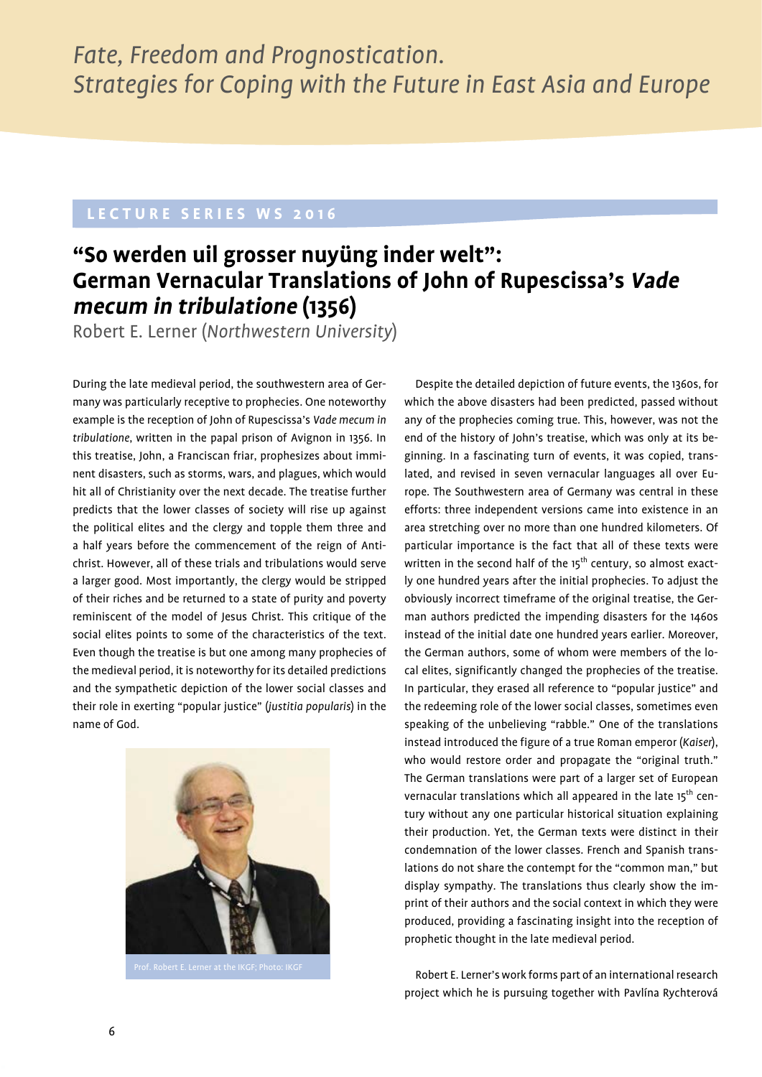# **LECTURE SERIES WS 2016**

# **"So werden uil grosser nuyüng inder welt": German Vernacular Translations of John of Rupescissa's Vade mecum in tribulatione (1356)**

Robert E. Lerner (*Northwestern University*)

During the late medieval period, the southwestern area of Germany was particularly receptive to prophecies. One noteworthy example is the reception of John of Rupescissa's *Vade mecum in tribulatione*, written in the papal prison of Avignon in 1356. In this treatise, John, a Franciscan friar, prophesizes about imminent disasters, such as storms, wars, and plagues, which would hit all of Christianity over the next decade. The treatise further predicts that the lower classes of society will rise up against the political elites and the clergy and topple them three and a half years before the commencement of the reign of Antichrist. However, all of these trials and tribulations would serve a larger good. Most importantly, the clergy would be stripped of their riches and be returned to a state of purity and poverty reminiscent of the model of Jesus Christ. This critique of the social elites points to some of the characteristics of the text. Even though the treatise is but one among many prophecies of the medieval period, it is noteworthy for its detailed predictions and the sympathetic depiction of the lower social classes and their role in exerting "popular justice" (*justitia popularis*) in the name of God.



Despite the detailed depiction of future events, the 1360s, for which the above disasters had been predicted, passed without any of the prophecies coming true. This, however, was not the end of the history of John's treatise, which was only at its beginning. In a fascinating turn of events, it was copied, translated, and revised in seven vernacular languages all over Europe. The Southwestern area of Germany was central in these efforts: three independent versions came into existence in an area stretching over no more than one hundred kilometers. Of particular importance is the fact that all of these texts were written in the second half of the  $15<sup>th</sup>$  century, so almost exactly one hundred years after the initial prophecies. To adjust the obviously incorrect timeframe of the original treatise, the German authors predicted the impending disasters for the 1460s instead of the initial date one hundred years earlier. Moreover, the German authors, some of whom were members of the local elites, significantly changed the prophecies of the treatise. In particular, they erased all reference to "popular justice" and the redeeming role of the lower social classes, sometimes even speaking of the unbelieving "rabble." One of the translations instead introduced the figure of a true Roman emperor (*Kaiser*), who would restore order and propagate the "original truth." The German translations were part of a larger set of European vernacular translations which all appeared in the late 15<sup>th</sup> century without any one particular historical situation explaining their production. Yet, the German texts were distinct in their condemnation of the lower classes. French and Spanish translations do not share the contempt for the "common man," but display sympathy. The translations thus clearly show the imprint of their authors and the social context in which they were produced, providing a fascinating insight into the reception of prophetic thought in the late medieval period.

Robert E. Lerner's work forms part of an international research project which he is pursuing together with Pavlína Rychterová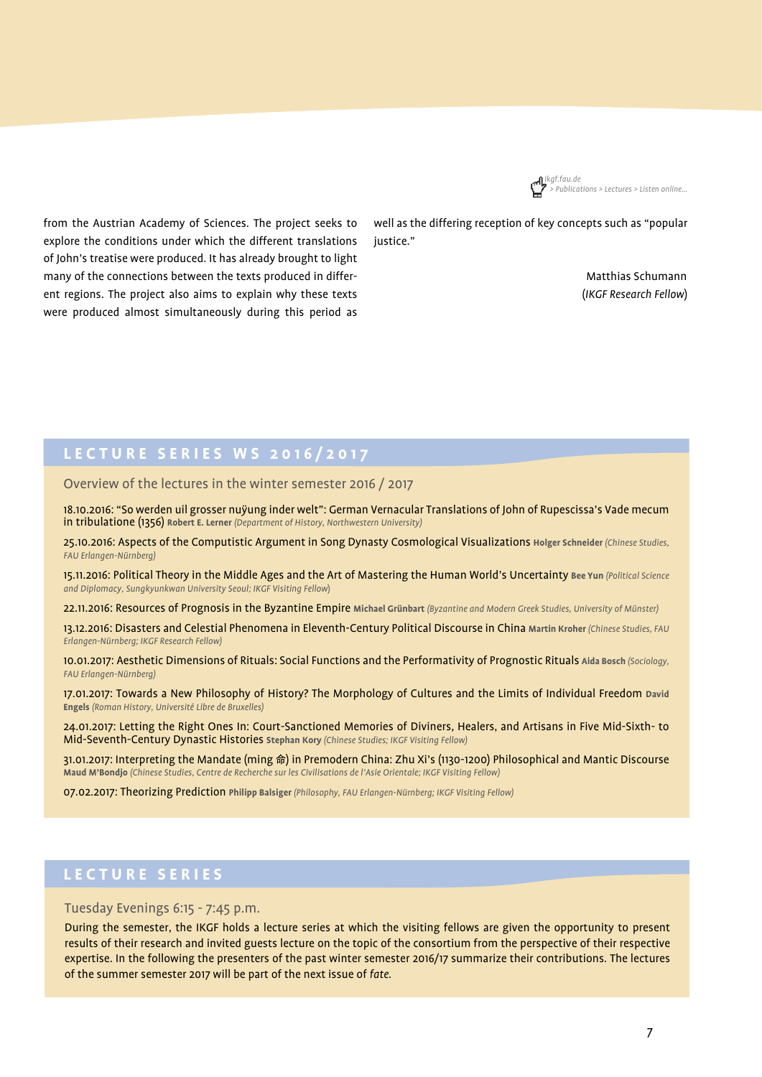*ikgf.fau.de > Publications > Lectures > Listen online…*

from the Austrian Academy of Sciences. The project seeks to explore the conditions under which the different translations of John's treatise were produced. It has already brought to light many of the connections between the texts produced in different regions. The project also aims to explain why these texts were produced almost simultaneously during this period as

well as the differing reception of key concepts such as "popular iustice."

> Matthias Schumann (*IKGF Research Fellow*)

# **LECTURE SERIES WS 2016/2017**

Overview of the lectures in the winter semester 2016 / 2017

18.10.2016: "So werden uil grosser nuÿung inder welt": German Vernacular Translations of John of Rupescissa's Vade mecum in tribulatione (1356) **Robert E. Lerner** *(Department of History, Northwestern University)*

25.10.2016: Aspects of the Computistic Argument in Song Dynasty Cosmological Visualizations **Holger Schneider** *(Chinese Studies, FAU Erlangen-Nürnberg)*

15.11.2016: Political Theory in the Middle Ages and the Art of Mastering the Human World's Uncertainty **Bee Yun** *(Political Science and Diplomacy, Sungkyunkwan University Seoul; IKGF Visiting Fellow*)

22.11.2016: Resources of Prognosis in the Byzantine Empire **Michael Grünbart** *(Byzantine and Modern Greek Studies, University of Münster)*

13.12.2016: Disasters and Celestial Phenomena in Eleventh-Century Political Discourse in China **Martin Kroher** *(Chinese Studies, FAU Erlangen-Nürnberg; IKGF Research Fellow)*

10.01.2017: Aesthetic Dimensions of Rituals: Social Functions and the Performativity of Prognostic Rituals **Aida Bosch** *(Sociology, FAU Erlangen-Nürnberg)*

17.01.2017: Towards a New Philosophy of History? The Morphology of Cultures and the Limits of Individual Freedom **David Engels** *(Roman History, Université Libre de Bruxelles)*

24.01.2017: Letting the Right Ones In: Court-Sanctioned Memories of Diviners, Healers, and Artisans in Five Mid-Sixth- to Mid-Seventh-Century Dynastic Histories **Stephan Kory** *(Chinese Studies; IKGF Visiting Fellow)*

31.01.2017: Interpreting the Mandate (ming 命) in Premodern China: Zhu Xi's (1130-1200) Philosophical and Mantic Discourse **Maud M'Bondjo** *(Chinese Studies, Centre de Recherche sur les Civilisations de l'Asie Orientale; IKGF Visiting Fellow)*

07.02.2017: Theorizing Prediction **Philipp Balsiger** *(Philosophy, FAU Erlangen-Nürnberg; IKGF Visiting Fellow)*

# **L E C T U R E S E R I E S**

Tuesday Evenings 6:15 - 7:45 p.m.

During the semester, the IKGF holds a lecture series at which the visiting fellows are given the opportunity to present results of their research and invited guests lecture on the topic of the consortium from the perspective of their respective expertise. In the following the presenters of the past winter semester 2016/17 summarize their contributions. The lectures of the summer semester 2017 will be part of the next issue of *fate*.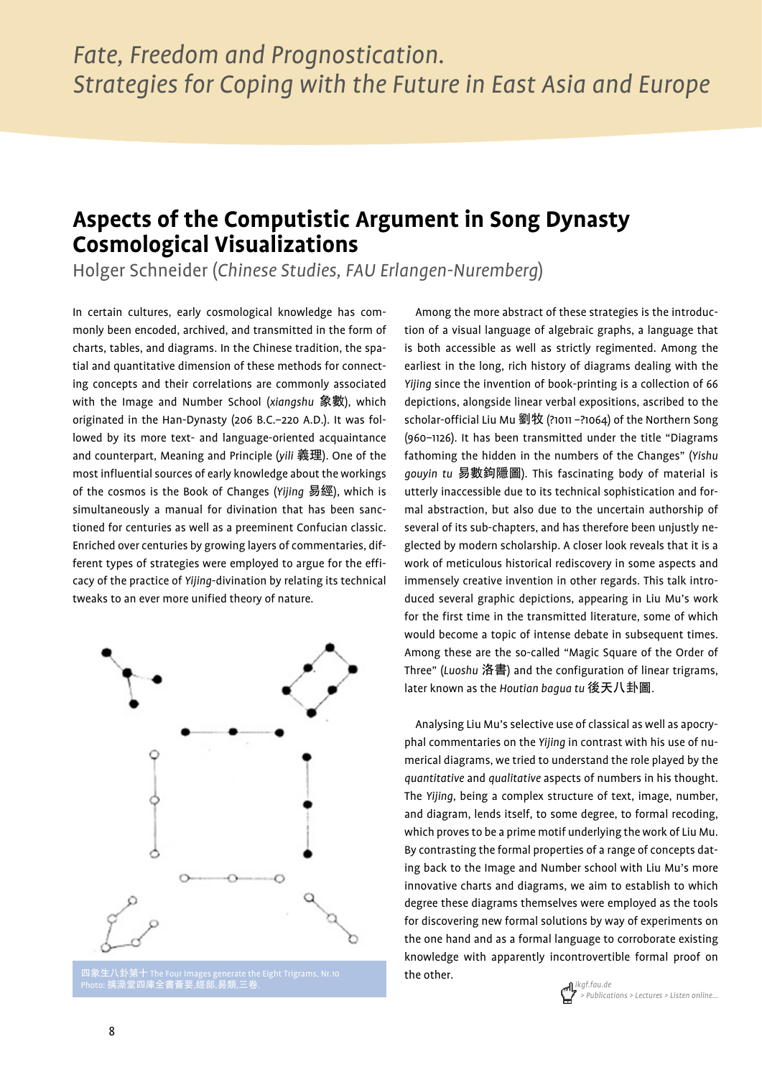# **Aspects of the Computistic Argument in Song Dynasty Cosmological Visualizations**

Holger Schneider (*Chinese Studies, FAU Erlangen-Nuremberg*)

In certain cultures, early cosmological knowledge has commonly been encoded, archived, and transmitted in the form of charts, tables, and diagrams. In the Chinese tradition, the spatial and quantitative dimension of these methods for connecting concepts and their correlations are commonly associated with the Image and Number School (*xiangshu* 象數), which originated in the Han-Dynasty (206 B.C.–220 A.D.). It was followed by its more text- and language-oriented acquaintance and counterpart, Meaning and Principle (*yili* 義理). One of the most influential sources of early knowledge about the workings of the cosmos is the Book of Changes (*Yijing* 易經), which is simultaneously a manual for divination that has been sanctioned for centuries as well as a preeminent Confucian classic. Enriched over centuries by growing layers of commentaries, different types of strategies were employed to argue for the efficacy of the practice of *Yijing*-divination by relating its technical tweaks to an ever more unified theory of nature.



四象生八卦第十 The Four Images generate the Eight Trigrams, Nr.10 Photo: 摛澡堂四庫全書薈要,經部,易類,三卷.

Among the more abstract of these strategies is the introduction of a visual language of algebraic graphs, a language that is both accessible as well as strictly regimented. Among the earliest in the long, rich history of diagrams dealing with the *Yijing* since the invention of book-printing is a collection of 66 depictions, alongside linear verbal expositions, ascribed to the scholar-official Liu Mu 劉牧 (?1011 –?1064) of the Northern Song (960–1126). It has been transmitted under the title "Diagrams fathoming the hidden in the numbers of the Changes" (*Yishu gouyin tu* 易數鉤隱圖). This fascinating body of material is utterly inaccessible due to its technical sophistication and formal abstraction, but also due to the uncertain authorship of several of its sub-chapters, and has therefore been unjustly neglected by modern scholarship. A closer look reveals that it is a work of meticulous historical rediscovery in some aspects and immensely creative invention in other regards. This talk introduced several graphic depictions, appearing in Liu Mu's work for the first time in the transmitted literature, some of which would become a topic of intense debate in subsequent times. Among these are the so-called "Magic Square of the Order of Three" (*Luoshu* 洛書) and the configuration of linear trigrams, later known as the *Houtian bagua tu* 後天八卦圖.

Analysing Liu Mu's selective use of classical as well as apocryphal commentaries on the *Yijing* in contrast with his use of numerical diagrams, we tried to understand the role played by the *quantitative* and *qualitative* aspects of numbers in his thought. The *Yijing*, being a complex structure of text, image, number, and diagram, lends itself, to some degree, to formal recoding, which proves to be a prime motif underlying the work of Liu Mu. By contrasting the formal properties of a range of concepts dating back to the Image and Number school with Liu Mu's more innovative charts and diagrams, we aim to establish to which degree these diagrams themselves were employed as the tools for discovering new formal solutions by way of experiments on the one hand and as a formal language to corroborate existing knowledge with apparently incontrovertible formal proof on the other.

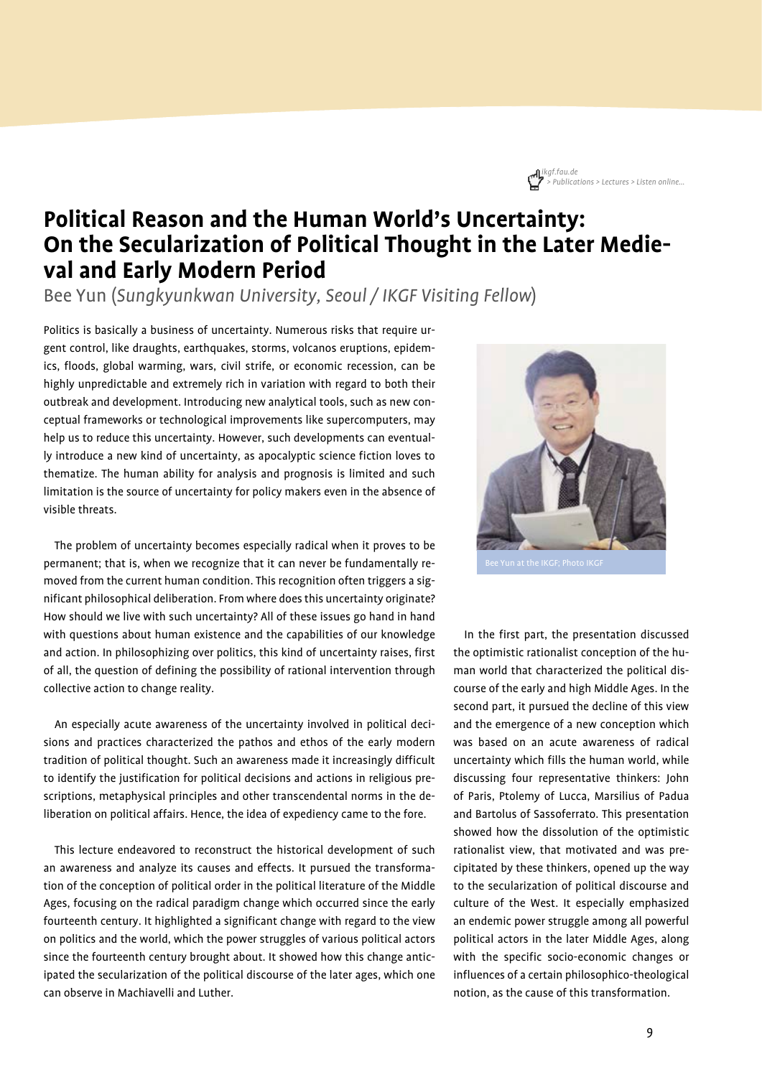

# **Political Reason and the Human World's Uncertainty: On the Secularization of Political Thought in the Later Medie- val and Early Modern Period**

Bee Yun (*Sungkyunkwan University, Seoul / IKGF Visiting Fellow*)

Politics is basically a business of uncertainty. Numerous risks that require urgent control, like draughts, earthquakes, storms, volcanos eruptions, epidemics, floods, global warming, wars, civil strife, or economic recession, can be highly unpredictable and extremely rich in variation with regard to both their outbreak and development. Introducing new analytical tools, such as new conceptual frameworks or technological improvements like supercomputers, may help us to reduce this uncertainty. However, such developments can eventually introduce a new kind of uncertainty, as apocalyptic science fiction loves to thematize. The human ability for analysis and prognosis is limited and such limitation is the source of uncertainty for policy makers even in the absence of visible threats.

The problem of uncertainty becomes especially radical when it proves to be permanent; that is, when we recognize that it can never be fundamentally removed from the current human condition. This recognition often triggers a significant philosophical deliberation. From where does this uncertainty originate? How should we live with such uncertainty? All of these issues go hand in hand with questions about human existence and the capabilities of our knowledge and action. In philosophizing over politics, this kind of uncertainty raises, first of all, the question of defining the possibility of rational intervention through collective action to change reality.

An especially acute awareness of the uncertainty involved in political decisions and practices characterized the pathos and ethos of the early modern tradition of political thought. Such an awareness made it increasingly difficult to identify the justification for political decisions and actions in religious prescriptions, metaphysical principles and other transcendental norms in the deliberation on political affairs. Hence, the idea of expediency came to the fore.

This lecture endeavored to reconstruct the historical development of such an awareness and analyze its causes and effects. It pursued the transformation of the conception of political order in the political literature of the Middle Ages, focusing on the radical paradigm change which occurred since the early fourteenth century. It highlighted a significant change with regard to the view on politics and the world, which the power struggles of various political actors since the fourteenth century brought about. It showed how this change anticipated the secularization of the political discourse of the later ages, which one can observe in Machiavelli and Luther.



In the first part, the presentation discussed the optimistic rationalist conception of the human world that characterized the political discourse of the early and high Middle Ages. In the second part, it pursued the decline of this view and the emergence of a new conception which was based on an acute awareness of radical uncertainty which fills the human world, while discussing four representative thinkers: John of Paris, Ptolemy of Lucca, Marsilius of Padua and Bartolus of Sassoferrato. This presentation showed how the dissolution of the optimistic rationalist view, that motivated and was precipitated by these thinkers, opened up the way to the secularization of political discourse and culture of the West. It especially emphasized an endemic power struggle among all powerful political actors in the later Middle Ages, along with the specific socio-economic changes or influences of a certain philosophico-theological notion, as the cause of this transformation.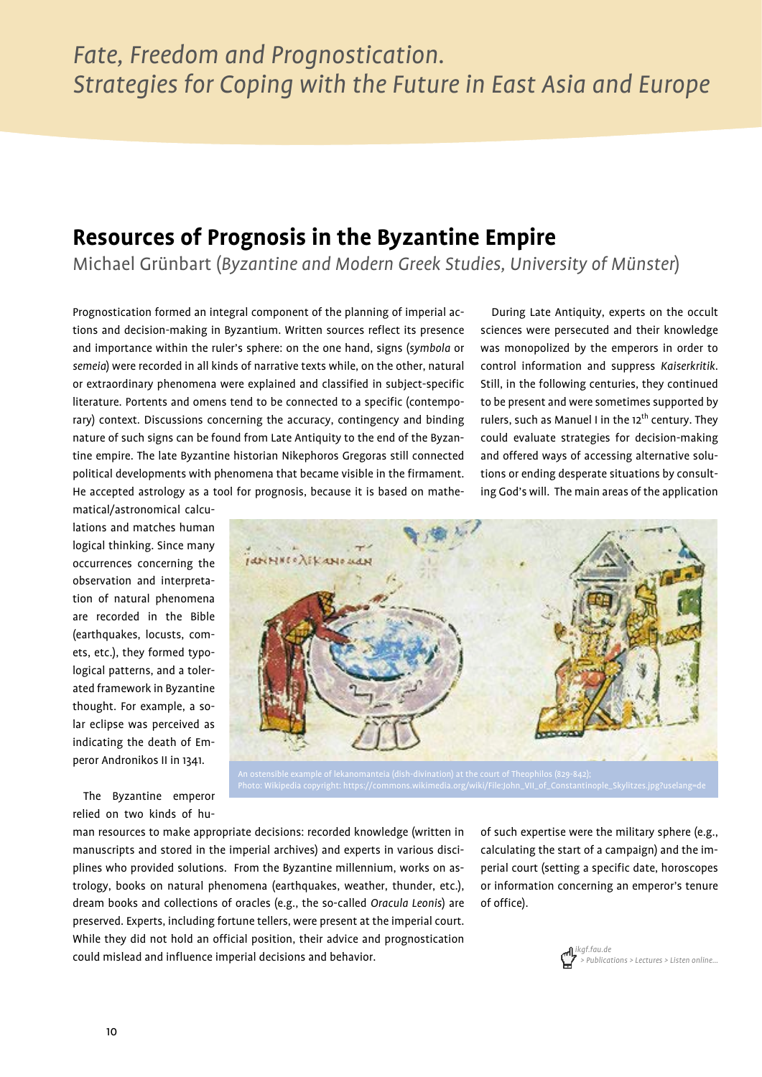# **Resources of Prognosis in the Byzantine Empire**

Michael Grünbart (*Byzantine and Modern Greek Studies, University of Münster*)

Prognostication formed an integral component of the planning of imperial actions and decision-making in Byzantium. Written sources reflect its presence and importance within the ruler's sphere: on the one hand, signs (*symbola* or *semeia*) were recorded in all kinds of narrative texts while, on the other, natural or extraordinary phenomena were explained and classified in subject-specific literature. Portents and omens tend to be connected to a specific (contemporary) context. Discussions concerning the accuracy, contingency and binding nature of such signs can be found from Late Antiquity to the end of the Byzantine empire. The late Byzantine historian Nikephoros Gregoras still connected political developments with phenomena that became visible in the firmament. He accepted astrology as a tool for prognosis, because it is based on mathe-

During Late Antiquity, experts on the occult sciences were persecuted and their knowledge was monopolized by the emperors in order to control information and suppress *Kaiserkritik*. Still, in the following centuries, they continued to be present and were sometimes supported by rulers, such as Manuel I in the  $12<sup>th</sup>$  century. They could evaluate strategies for decision-making and offered ways of accessing alternative solutions or ending desperate situations by consulting God's will. The main areas of the application

matical/astronomical calculations and matches human logical thinking. Since many occurrences concerning the observation and interpretation of natural phenomena are recorded in the Bible (earthquakes, locusts, comets, etc.), they formed typological patterns, and a tolerated framework in Byzantine thought. For example, a solar eclipse was perceived as indicating the death of Emperor Andronikos II in 1341.

The Byzantine emperor relied on two kinds of hu-



man resources to make appropriate decisions: recorded knowledge (written in manuscripts and stored in the imperial archives) and experts in various disciplines who provided solutions. From the Byzantine millennium, works on astrology, books on natural phenomena (earthquakes, weather, thunder, etc.), dream books and collections of oracles (e.g., the so-called *Oracula Leonis*) are preserved. Experts, including fortune tellers, were present at the imperial court. While they did not hold an official position, their advice and prognostication could mislead and influence imperial decisions and behavior.

of such expertise were the military sphere (e.g., calculating the start of a campaign) and the imperial court (setting a specific date, horoscopes or information concerning an emperor's tenure of office).

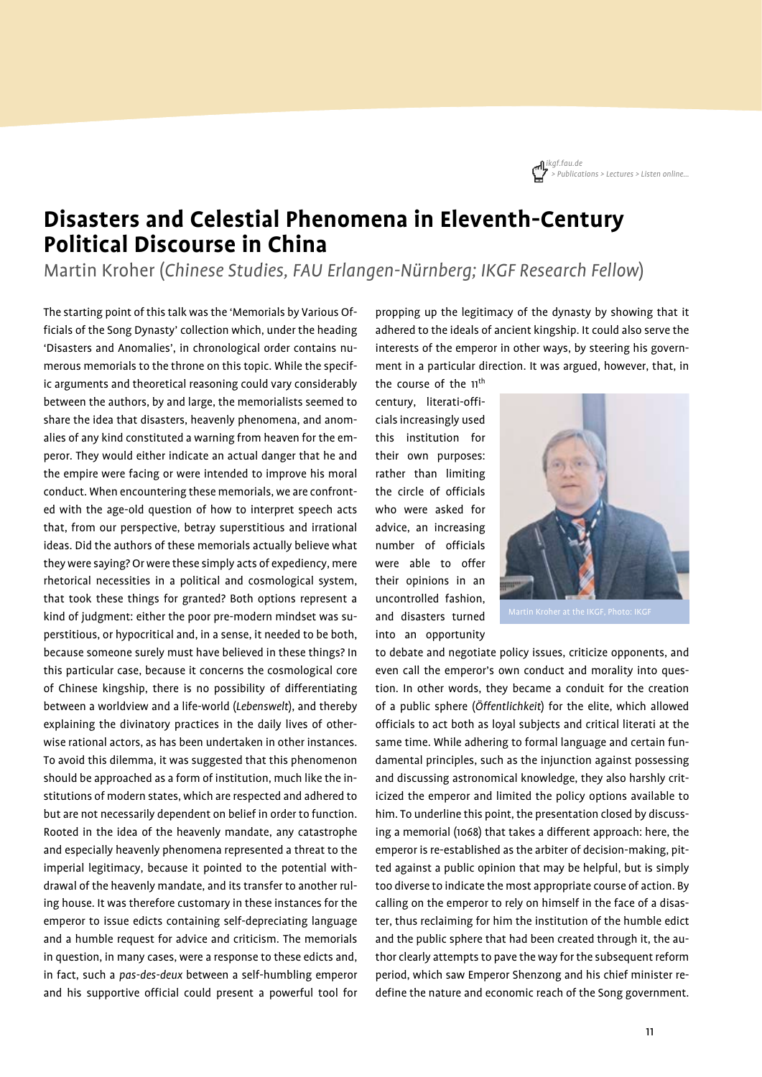

# **Disasters and Celestial Phenomena in Eleventh-Century Political Discourse in China**

Martin Kroher (*Chinese Studies, FAU Erlangen-Nürnberg; IKGF Research Fellow*)

The starting point of this talk was the 'Memorials by Various Officials of the Song Dynasty' collection which, under the heading 'Disasters and Anomalies', in chronological order contains numerous memorials to the throne on this topic. While the specific arguments and theoretical reasoning could vary considerably between the authors, by and large, the memorialists seemed to share the idea that disasters, heavenly phenomena, and anomalies of any kind constituted a warning from heaven for the emperor. They would either indicate an actual danger that he and the empire were facing or were intended to improve his moral conduct. When encountering these memorials, we are confronted with the age-old question of how to interpret speech acts that, from our perspective, betray superstitious and irrational ideas. Did the authors of these memorials actually believe what they were saying? Or were these simply acts of expediency, mere rhetorical necessities in a political and cosmological system, that took these things for granted? Both options represent a kind of judgment: either the poor pre-modern mindset was superstitious, or hypocritical and, in a sense, it needed to be both, because someone surely must have believed in these things? In this particular case, because it concerns the cosmological core of Chinese kingship, there is no possibility of differentiating between a worldview and a life-world (*Lebenswelt*), and thereby explaining the divinatory practices in the daily lives of otherwise rational actors, as has been undertaken in other instances. To avoid this dilemma, it was suggested that this phenomenon should be approached as a form of institution, much like the institutions of modern states, which are respected and adhered to but are not necessarily dependent on belief in order to function. Rooted in the idea of the heavenly mandate, any catastrophe and especially heavenly phenomena represented a threat to the imperial legitimacy, because it pointed to the potential withdrawal of the heavenly mandate, and its transfer to another ruling house. It was therefore customary in these instances for the emperor to issue edicts containing self-depreciating language and a humble request for advice and criticism. The memorials in question, in many cases, were a response to these edicts and, in fact, such a *pas-des-deux* between a self-humbling emperor and his supportive official could present a powerful tool for propping up the legitimacy of the dynasty by showing that it adhered to the ideals of ancient kingship. It could also serve the interests of the emperor in other ways, by steering his government in a particular direction. It was argued, however, that, in

the course of the 11<sup>th</sup> century, literati-officials increasingly used this institution for their own purposes: rather than limiting the circle of officials who were asked for advice, an increasing number of officials were able to offer their opinions in an uncontrolled fashion, and disasters turned into an opportunity



to debate and negotiate policy issues, criticize opponents, and even call the emperor's own conduct and morality into question. In other words, they became a conduit for the creation of a public sphere (*Öffentlichkeit*) for the elite, which allowed officials to act both as loyal subjects and critical literati at the same time. While adhering to formal language and certain fundamental principles, such as the injunction against possessing and discussing astronomical knowledge, they also harshly criticized the emperor and limited the policy options available to him. To underline this point, the presentation closed by discussing a memorial (1068) that takes a different approach: here, the emperor is re-established as the arbiter of decision-making, pitted against a public opinion that may be helpful, but is simply too diverse to indicate the most appropriate course of action. By calling on the emperor to rely on himself in the face of a disaster, thus reclaiming for him the institution of the humble edict and the public sphere that had been created through it, the author clearly attempts to pave the way for the subsequent reform period, which saw Emperor Shenzong and his chief minister redefine the nature and economic reach of the Song government.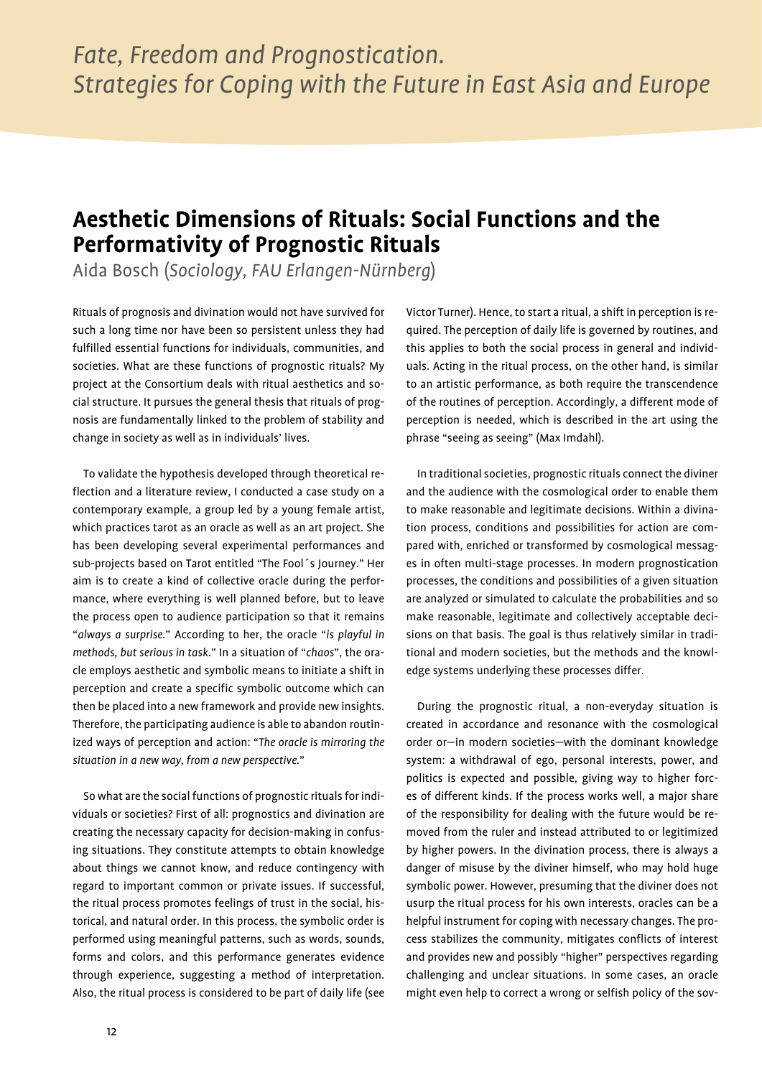# **Aesthetic Dimensions of Rituals: Social Functions and the Performativity of Prognostic Rituals**

Aida Bosch (*Sociology, FAU Erlangen-Nürnberg*)

Rituals of prognosis and divination would not have survived for such a long time nor have been so persistent unless they had fulfilled essential functions for individuals, communities, and societies. What are these functions of prognostic rituals? My project at the Consortium deals with ritual aesthetics and social structure. It pursues the general thesis that rituals of prognosis are fundamentally linked to the problem of stability and change in society as well as in individuals' lives.

To validate the hypothesis developed through theoretical reflection and a literature review, I conducted a case study on a contemporary example, a group led by a young female artist, which practices tarot as an oracle as well as an art project. She has been developing several experimental performances and sub-projects based on Tarot entitled "The Fool´s Journey." Her aim is to create a kind of collective oracle during the performance, where everything is well planned before, but to leave the process open to audience participation so that it remains "*always a surprise.*" According to her, the oracle "*is playful in methods, but serious in task.*" In a situation of "*chaos*", the oracle employs aesthetic and symbolic means to initiate a shift in perception and create a specific symbolic outcome which can then be placed into a new framework and provide new insights. Therefore, the participating audience is able to abandon routinized ways of perception and action: "*The oracle is mirroring the situation in a new way, from a new perspective.*"

So what are the social functions of prognostic rituals for individuals or societies? First of all: prognostics and divination are creating the necessary capacity for decision-making in confusing situations. They constitute attempts to obtain knowledge about things we cannot know, and reduce contingency with regard to important common or private issues. If successful, the ritual process promotes feelings of trust in the social, historical, and natural order. In this process, the symbolic order is performed using meaningful patterns, such as words, sounds, forms and colors, and this performance generates evidence through experience, suggesting a method of interpretation. Also, the ritual process is considered to be part of daily life (see

Victor Turner). Hence, to start a ritual, a shift in perception is required. The perception of daily life is governed by routines, and this applies to both the social process in general and individuals. Acting in the ritual process, on the other hand, is similar to an artistic performance, as both require the transcendence of the routines of perception. Accordingly, a different mode of perception is needed, which is described in the art using the phrase "seeing as seeing" (Max Imdahl).

In traditional societies, prognostic rituals connect the diviner and the audience with the cosmological order to enable them to make reasonable and legitimate decisions. Within a divination process, conditions and possibilities for action are compared with, enriched or transformed by cosmological messages in often multi-stage processes. In modern prognostication processes, the conditions and possibilities of a given situation are analyzed or simulated to calculate the probabilities and so make reasonable, legitimate and collectively acceptable decisions on that basis. The goal is thus relatively similar in traditional and modern societies, but the methods and the knowledge systems underlying these processes differ.

During the prognostic ritual, a non-everyday situation is created in accordance and resonance with the cosmological order or—in modern societies—with the dominant knowledge system: a withdrawal of ego, personal interests, power, and politics is expected and possible, giving way to higher forces of different kinds. If the process works well, a major share of the responsibility for dealing with the future would be removed from the ruler and instead attributed to or legitimized by higher powers. In the divination process, there is always a danger of misuse by the diviner himself, who may hold huge symbolic power. However, presuming that the diviner does not usurp the ritual process for his own interests, oracles can be a helpful instrument for coping with necessary changes. The process stabilizes the community, mitigates conflicts of interest and provides new and possibly "higher" perspectives regarding challenging and unclear situations. In some cases, an oracle might even help to correct a wrong or selfish policy of the sov-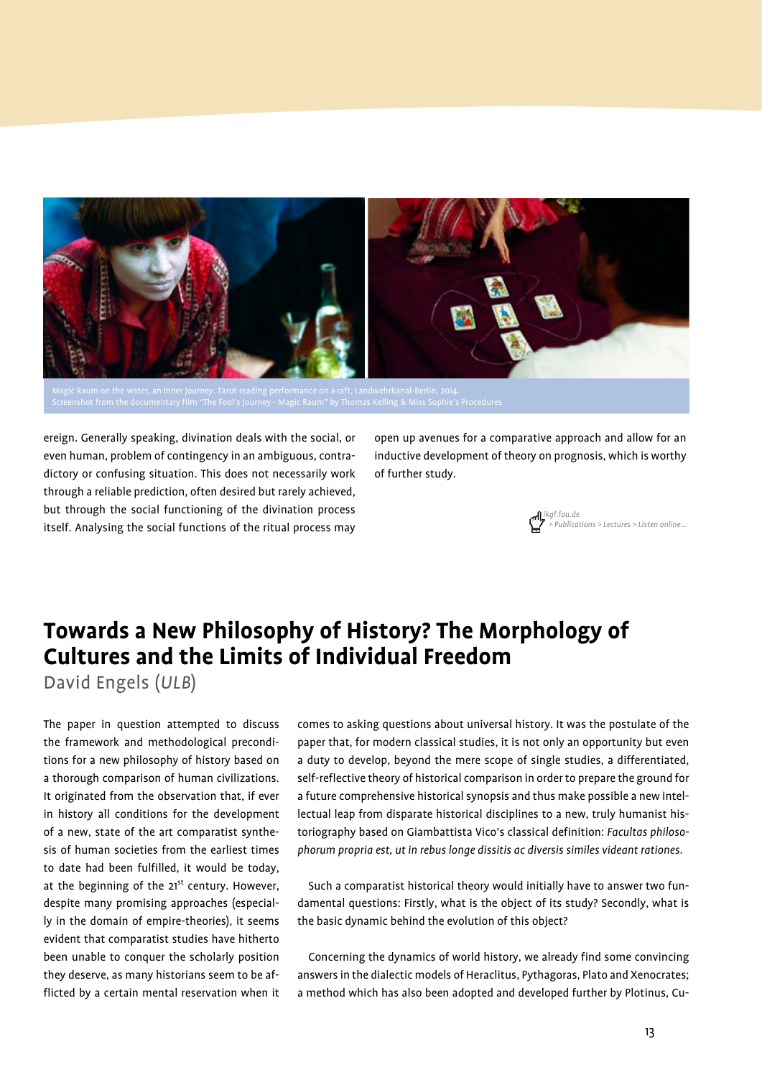

ereign. Generally speaking, divination deals with the social, or even human, problem of contingency in an ambiguous, contradictory or confusing situation. This does not necessarily work through a reliable prediction, often desired but rarely achieved, but through the social functioning of the divination process itself. Analysing the social functions of the ritual process may open up avenues for a comparative approach and allow for an inductive development of theory on prognosis, which is worthy of further study.



# **Towards a New Philosophy of History? The Morphology of Cultures and the Limits of Individual Freedom** David Engels (*ULB*)

The paper in question attempted to discuss the framework and methodological preconditions for a new philosophy of history based on a thorough comparison of human civilizations. It originated from the observation that, if ever in history all conditions for the development of a new, state of the art comparatist synthesis of human societies from the earliest times to date had been fulfilled, it would be today, at the beginning of the  $21^{st}$  century. However, despite many promising approaches (especially in the domain of empire-theories), it seems evident that comparatist studies have hitherto been unable to conquer the scholarly position they deserve, as many historians seem to be afflicted by a certain mental reservation when it

comes to asking questions about universal history. It was the postulate of the paper that, for modern classical studies, it is not only an opportunity but even a duty to develop, beyond the mere scope of single studies, a differentiated, self-reflective theory of historical comparison in order to prepare the ground for a future comprehensive historical synopsis and thus make possible a new intellectual leap from disparate historical disciplines to a new, truly humanist historiography based on Giambattista Vico's classical definition: *Facultas philosophorum propria est, ut in rebus longe dissitis ac diversis similes videant rationes*.

Such a comparatist historical theory would initially have to answer two fundamental questions: Firstly, what is the object of its study? Secondly, what is the basic dynamic behind the evolution of this object?

Concerning the dynamics of world history, we already find some convincing answers in the dialectic models of Heraclitus, Pythagoras, Plato and Xenocrates; a method which has also been adopted and developed further by Plotinus, Cu-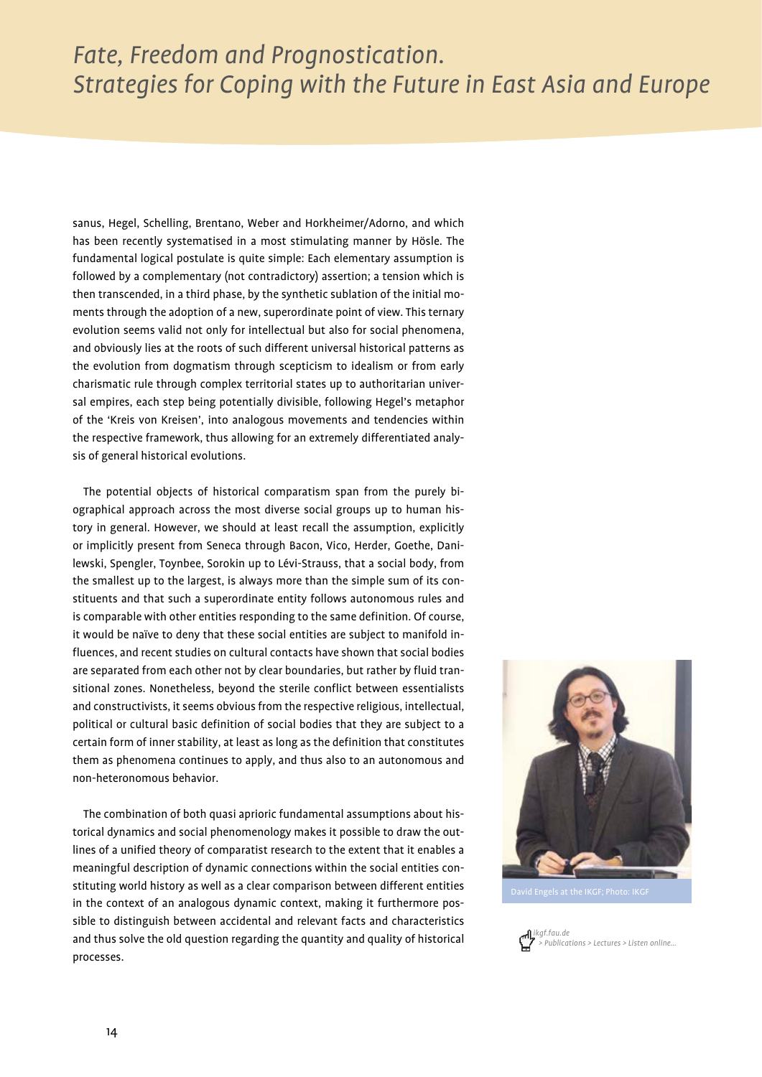sanus, Hegel, Schelling, Brentano, Weber and Horkheimer/Adorno, and which has been recently systematised in a most stimulating manner by Hösle. The fundamental logical postulate is quite simple: Each elementary assumption is followed by a complementary (not contradictory) assertion; a tension which is then transcended, in a third phase, by the synthetic sublation of the initial moments through the adoption of a new, superordinate point of view. This ternary evolution seems valid not only for intellectual but also for social phenomena, and obviously lies at the roots of such different universal historical patterns as the evolution from dogmatism through scepticism to idealism or from early charismatic rule through complex territorial states up to authoritarian universal empires, each step being potentially divisible, following Hegel's metaphor of the 'Kreis von Kreisen', into analogous movements and tendencies within the respective framework, thus allowing for an extremely differentiated analysis of general historical evolutions.

The potential objects of historical comparatism span from the purely biographical approach across the most diverse social groups up to human history in general. However, we should at least recall the assumption, explicitly or implicitly present from Seneca through Bacon, Vico, Herder, Goethe, Danilewski, Spengler, Toynbee, Sorokin up to Lévi-Strauss, that a social body, from the smallest up to the largest, is always more than the simple sum of its constituents and that such a superordinate entity follows autonomous rules and is comparable with other entities responding to the same definition. Of course, it would be naïve to deny that these social entities are subject to manifold influences, and recent studies on cultural contacts have shown that social bodies are separated from each other not by clear boundaries, but rather by fluid transitional zones. Nonetheless, beyond the sterile conflict between essentialists and constructivists, it seems obvious from the respective religious, intellectual, political or cultural basic definition of social bodies that they are subject to a certain form of inner stability, at least as long as the definition that constitutes them as phenomena continues to apply, and thus also to an autonomous and non-heteronomous behavior.

The combination of both quasi aprioric fundamental assumptions about historical dynamics and social phenomenology makes it possible to draw the outlines of a unified theory of comparatist research to the extent that it enables a meaningful description of dynamic connections within the social entities constituting world history as well as a clear comparison between different entities in the context of an analogous dynamic context, making it furthermore possible to distinguish between accidental and relevant facts and characteristics and thus solve the old question regarding the quantity and quality of historical processes.



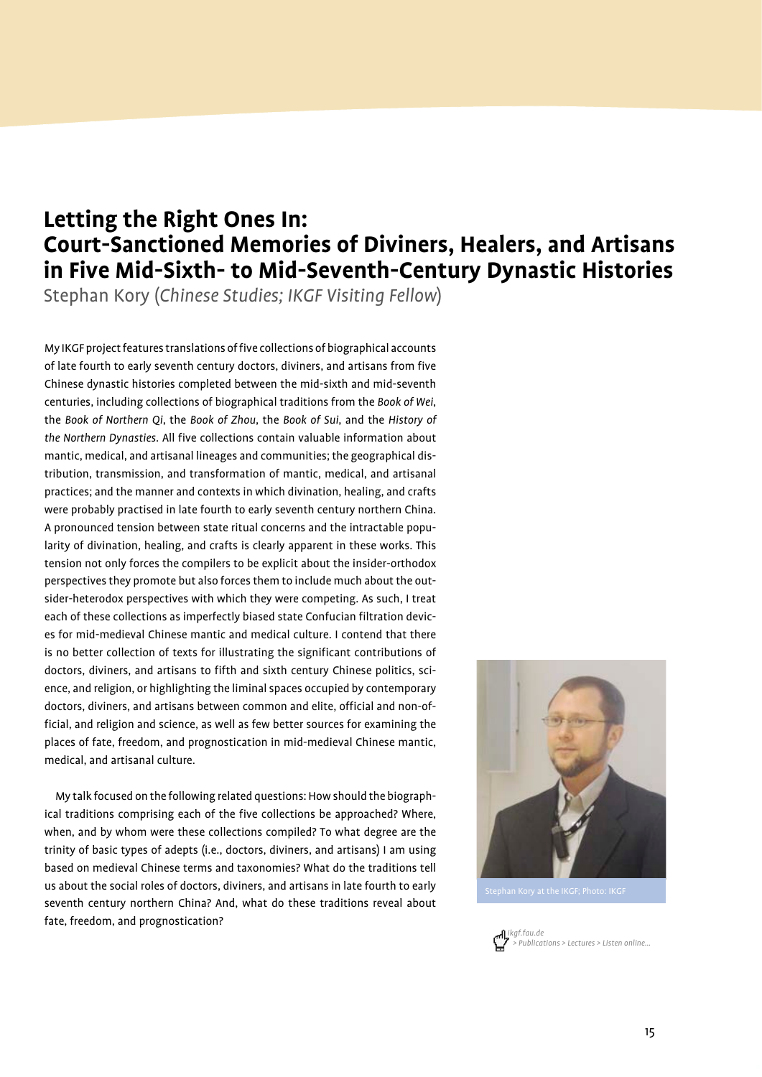# **Letting the Right Ones In: Court-Sanctioned Memories of Diviners, Healers, and Artisans in Five Mid-Sixth- to Mid-Seventh-Century Dynastic Histories**

Stephan Kory (*Chinese Studies; IKGF Visiting Fellow*)

My IKGF project features translations of five collections of biographical accounts of late fourth to early seventh century doctors, diviners, and artisans from five Chinese dynastic histories completed between the mid-sixth and mid-seventh centuries, including collections of biographical traditions from the *Book of Wei*, the *Book of Northern Qi*, the *Book of Zhou*, the *Book of Sui*, and the *History of the Northern Dynasties*. All five collections contain valuable information about mantic, medical, and artisanal lineages and communities; the geographical distribution, transmission, and transformation of mantic, medical, and artisanal practices; and the manner and contexts in which divination, healing, and crafts were probably practised in late fourth to early seventh century northern China. A pronounced tension between state ritual concerns and the intractable popularity of divination, healing, and crafts is clearly apparent in these works. This tension not only forces the compilers to be explicit about the insider-orthodox perspectives they promote but also forces them to include much about the outsider-heterodox perspectives with which they were competing. As such, I treat each of these collections as imperfectly biased state Confucian filtration devices for mid-medieval Chinese mantic and medical culture. I contend that there is no better collection of texts for illustrating the significant contributions of doctors, diviners, and artisans to fifth and sixth century Chinese politics, science, and religion, or highlighting the liminal spaces occupied by contemporary doctors, diviners, and artisans between common and elite, official and non-official, and religion and science, as well as few better sources for examining the places of fate, freedom, and prognostication in mid-medieval Chinese mantic, medical, and artisanal culture.

My talk focused on the following related questions: How should the biographical traditions comprising each of the five collections be approached? Where, when, and by whom were these collections compiled? To what degree are the trinity of basic types of adepts (i.e., doctors, diviners, and artisans) I am using based on medieval Chinese terms and taxonomies? What do the traditions tell us about the social roles of doctors, diviners, and artisans in late fourth to early seventh century northern China? And, what do these traditions reveal about fate, freedom, and prognostication?



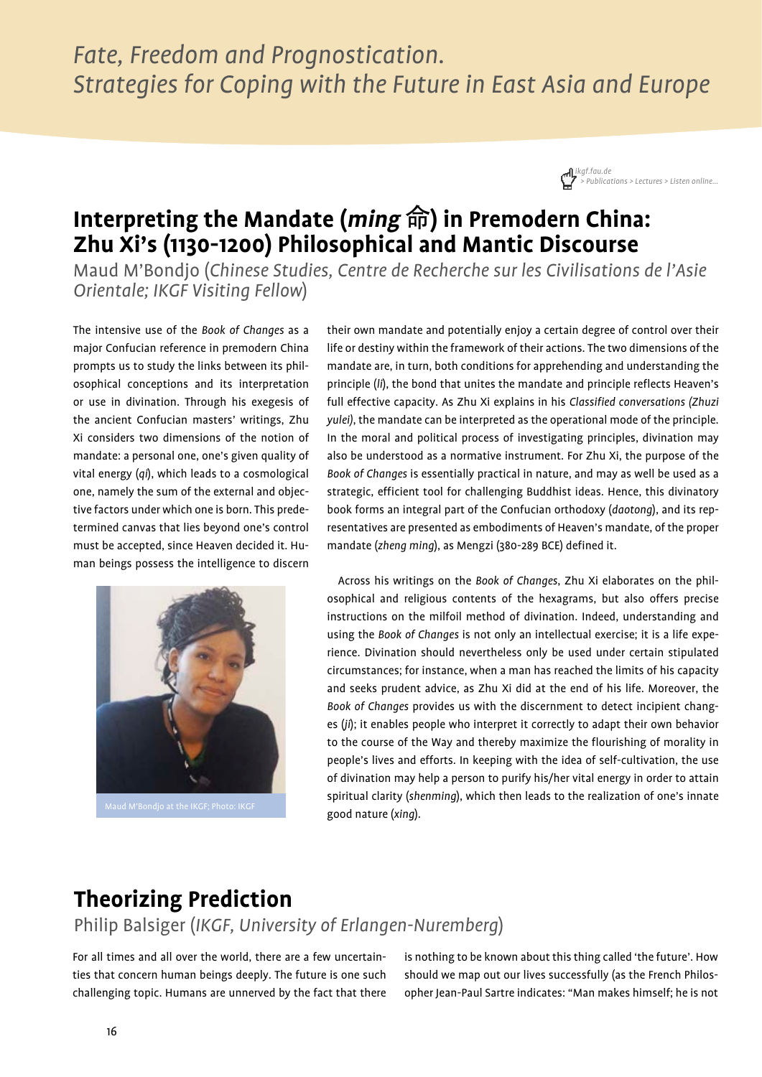

# **Interpreting the Mandate (ming** <sup>命</sup>**) in Premodern China: Zhu Xi's (1130-1200) Philosophical and Mantic Discourse**

Maud M'Bondjo (*Chinese Studies, Centre de Recherche sur les Civilisations de l'Asie Orientale; IKGF Visiting Fellow*)

The intensive use of the *Book of Changes* as a major Confucian reference in premodern China prompts us to study the links between its philosophical conceptions and its interpretation or use in divination. Through his exegesis of the ancient Confucian masters' writings, Zhu Xi considers two dimensions of the notion of mandate: a personal one, one's given quality of vital energy (*qi*), which leads to a cosmological one, namely the sum of the external and objective factors under which one is born. This predetermined canvas that lies beyond one's control must be accepted, since Heaven decided it. Human beings possess the intelligence to discern



their own mandate and potentially enjoy a certain degree of control over their life or destiny within the framework of their actions. The two dimensions of the mandate are, in turn, both conditions for apprehending and understanding the principle (*li*), the bond that unites the mandate and principle reflects Heaven's full effective capacity. As Zhu Xi explains in his *Classified conversations (Zhuzi yulei)*, the mandate can be interpreted as the operational mode of the principle. In the moral and political process of investigating principles, divination may also be understood as a normative instrument. For Zhu Xi, the purpose of the *Book of Changes* is essentially practical in nature, and may as well be used as a strategic, efficient tool for challenging Buddhist ideas. Hence, this divinatory book forms an integral part of the Confucian orthodoxy (*daotong*), and its representatives are presented as embodiments of Heaven's mandate, of the proper mandate (*zheng ming*), as Mengzi (380-289 BCE) defined it.

Across his writings on the *Book of Changes*, Zhu Xi elaborates on the philosophical and religious contents of the hexagrams, but also offers precise instructions on the milfoil method of divination. Indeed, understanding and using the *Book of Changes* is not only an intellectual exercise; it is a life experience. Divination should nevertheless only be used under certain stipulated circumstances; for instance, when a man has reached the limits of his capacity and seeks prudent advice, as Zhu Xi did at the end of his life. Moreover, the *Book of Changes* provides us with the discernment to detect incipient changes (*ji*); it enables people who interpret it correctly to adapt their own behavior to the course of the Way and thereby maximize the flourishing of morality in people's lives and efforts. In keeping with the idea of self-cultivation, the use of divination may help a person to purify his/her vital energy in order to attain spiritual clarity (*shenming*), which then leads to the realization of one's innate Maud M'Bondjo at the IKGF; Photo: IKGF<br>good nature (xing).

# **Theorizing Prediction**

# Philip Balsiger (*IKGF, University of Erlangen-Nuremberg*)

For all times and all over the world, there are a few uncertainties that concern human beings deeply. The future is one such challenging topic. Humans are unnerved by the fact that there is nothing to be known about this thing called 'the future'. How should we map out our lives successfully (as the French Philosopher Jean-Paul Sartre indicates: "Man makes himself; he is not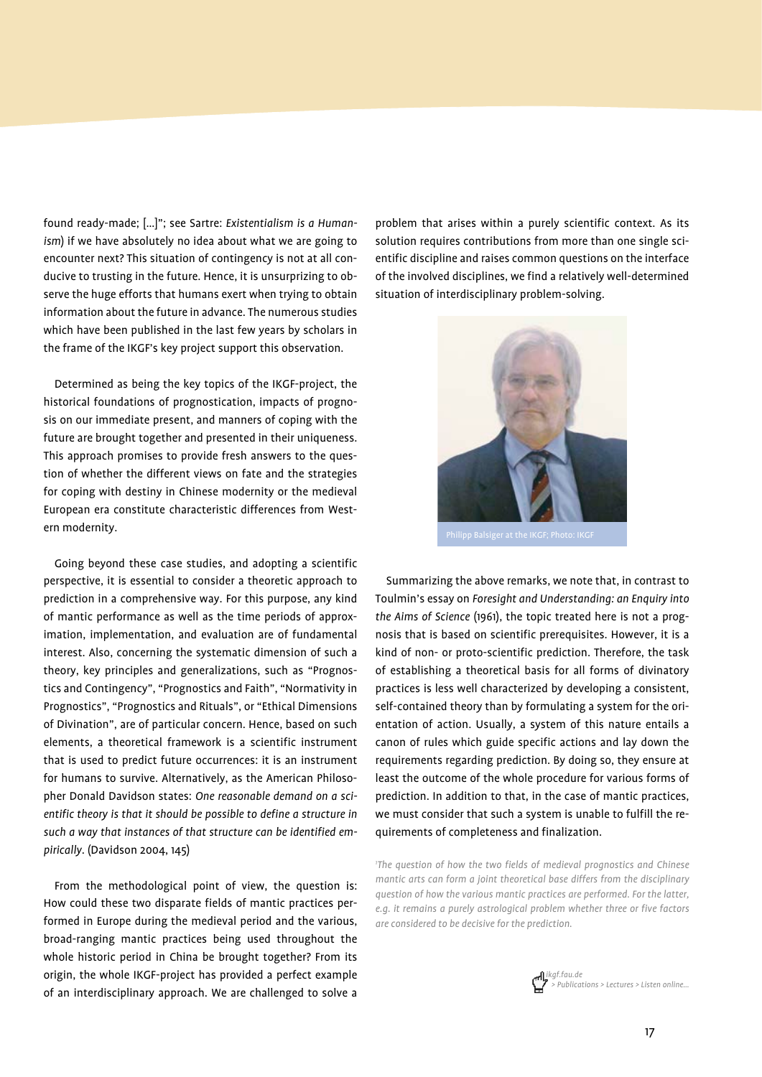found ready-made; […]"; see Sartre: *Existentialism is a Humanism*) if we have absolutely no idea about what we are going to encounter next? This situation of contingency is not at all conducive to trusting in the future. Hence, it is unsurprizing to observe the huge efforts that humans exert when trying to obtain information about the future in advance. The numerous studies which have been published in the last few years by scholars in the frame of the IKGF's key project support this observation.

Determined as being the key topics of the IKGF-project, the historical foundations of prognostication, impacts of prognosis on our immediate present, and manners of coping with the future are brought together and presented in their uniqueness. This approach promises to provide fresh answers to the question of whether the different views on fate and the strategies for coping with destiny in Chinese modernity or the medieval European era constitute characteristic differences from Western modernity.

Going beyond these case studies, and adopting a scientific perspective, it is essential to consider a theoretic approach to prediction in a comprehensive way. For this purpose, any kind of mantic performance as well as the time periods of approximation, implementation, and evaluation are of fundamental interest. Also, concerning the systematic dimension of such a theory, key principles and generalizations, such as "Prognostics and Contingency", "Prognostics and Faith", "Normativity in Prognostics", "Prognostics and Rituals", or "Ethical Dimensions of Divination", are of particular concern. Hence, based on such elements, a theoretical framework is a scientific instrument that is used to predict future occurrences: it is an instrument for humans to survive. Alternatively, as the American Philosopher Donald Davidson states: *One reasonable demand on a scientific theory is that it should be possible to define a structure in such a way that instances of that structure can be identified empirically*. (Davidson 2004, 145)

From the methodological point of view, the question is: How could these two disparate fields of mantic practices performed in Europe during the medieval period and the various, broad-ranging mantic practices being used throughout the whole historic period in China be brought together? From its origin, the whole IKGF-project has provided a perfect example of an interdisciplinary approach. We are challenged to solve a

problem that arises within a purely scientific context. As its solution requires contributions from more than one single scientific discipline and raises common questions on the interface of the involved disciplines, we find a relatively well-determined situation of interdisciplinary problem-solving.



Summarizing the above remarks, we note that, in contrast to Toulmin's essay on *Foresight and Understanding: an Enquiry into the Aims of Science* (1961), the topic treated here is not a prognosis that is based on scientific prerequisites. However, it is a kind of non- or proto-scientific prediction. Therefore, the task of establishing a theoretical basis for all forms of divinatory practices is less well characterized by developing a consistent, self-contained theory than by formulating a system for the orientation of action. Usually, a system of this nature entails a canon of rules which guide specific actions and lay down the requirements regarding prediction. By doing so, they ensure at least the outcome of the whole procedure for various forms of prediction. In addition to that, in the case of mantic practices, we must consider that such a system is unable to fulfill the requirements of completeness and finalization.

<sup>1</sup>The question of how the two fields of medieval prognostics and Chinese *mantic arts can form a joint theoretical base differs from the disciplinary question of how the various mantic practices are performed. For the latter, e.g. it remains a purely astrological problem whether three or five factors are considered to be decisive for the prediction.*

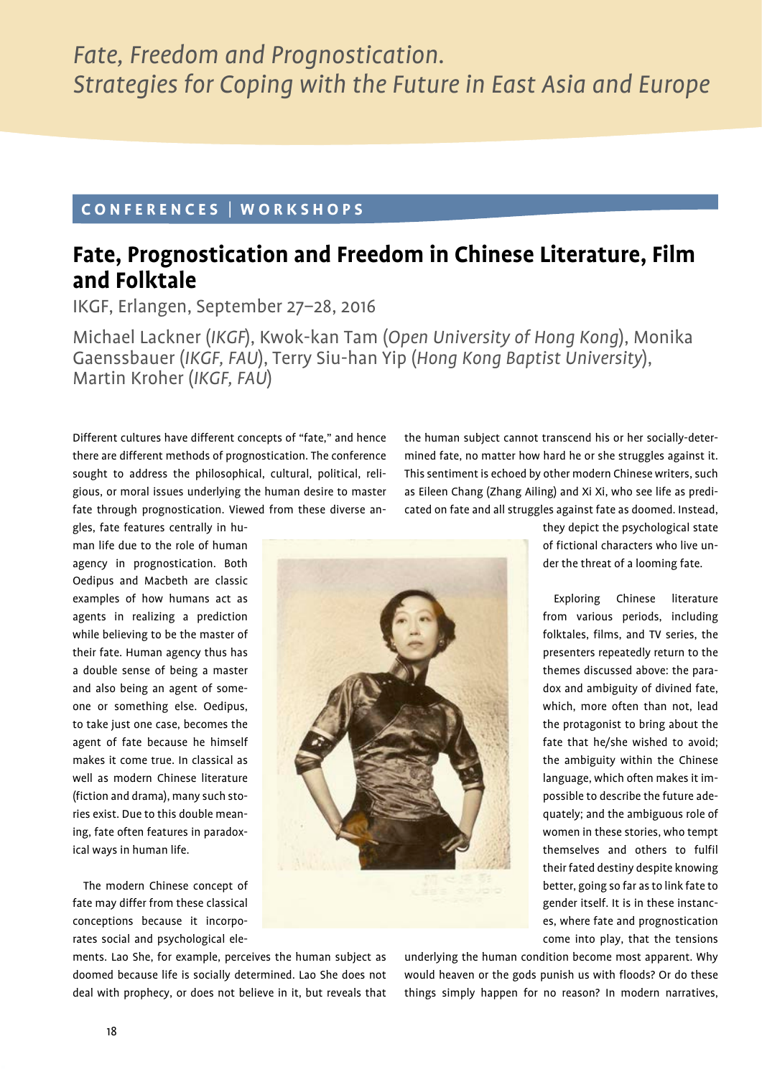# **CONFERENCES I WORKSHOPS**

# **Fate, Prognostication and Freedom in Chinese Literature, Film and Folktale**

IKGF, Erlangen, September 27–28, 2016

Michael Lackner (*IKGF*), Kwok-kan Tam (*Open University of Hong Kong*), Monika Gaenssbauer (*IKGF, FAU*), Terry Siu-han Yip (*Hong Kong Baptist University*), Martin Kroher (*IKGF, FAU*)

Different cultures have different concepts of "fate," and hence there are different methods of prognostication. The conference sought to address the philosophical, cultural, political, religious, or moral issues underlying the human desire to master fate through prognostication. Viewed from these diverse anthe human subject cannot transcend his or her socially-determined fate, no matter how hard he or she struggles against it. This sentiment is echoed by other modern Chinese writers, such as Eileen Chang (Zhang Ailing) and Xi Xi, who see life as predicated on fate and all struggles against fate as doomed. Instead,

gles, fate features centrally in human life due to the role of human agency in prognostication. Both Oedipus and Macbeth are classic examples of how humans act as agents in realizing a prediction while believing to be the master of their fate. Human agency thus has a double sense of being a master and also being an agent of someone or something else. Oedipus, to take just one case, becomes the agent of fate because he himself makes it come true. In classical as well as modern Chinese literature (fiction and drama), many such stories exist. Due to this double meaning, fate often features in paradoxical ways in human life.

The modern Chinese concept of fate may differ from these classical conceptions because it incorporates social and psychological ele-



they depict the psychological state of fictional characters who live under the threat of a looming fate.

Exploring Chinese literature from various periods, including folktales, films, and TV series, the presenters repeatedly return to the themes discussed above: the paradox and ambiguity of divined fate, which, more often than not, lead the protagonist to bring about the fate that he/she wished to avoid; the ambiguity within the Chinese language, which often makes it impossible to describe the future adequately; and the ambiguous role of women in these stories, who tempt themselves and others to fulfil their fated destiny despite knowing better, going so far as to link fate to gender itself. It is in these instances, where fate and prognostication come into play, that the tensions

ments. Lao She, for example, perceives the human subject as doomed because life is socially determined. Lao She does not deal with prophecy, or does not believe in it, but reveals that

underlying the human condition become most apparent. Why would heaven or the gods punish us with floods? Or do these things simply happen for no reason? In modern narratives,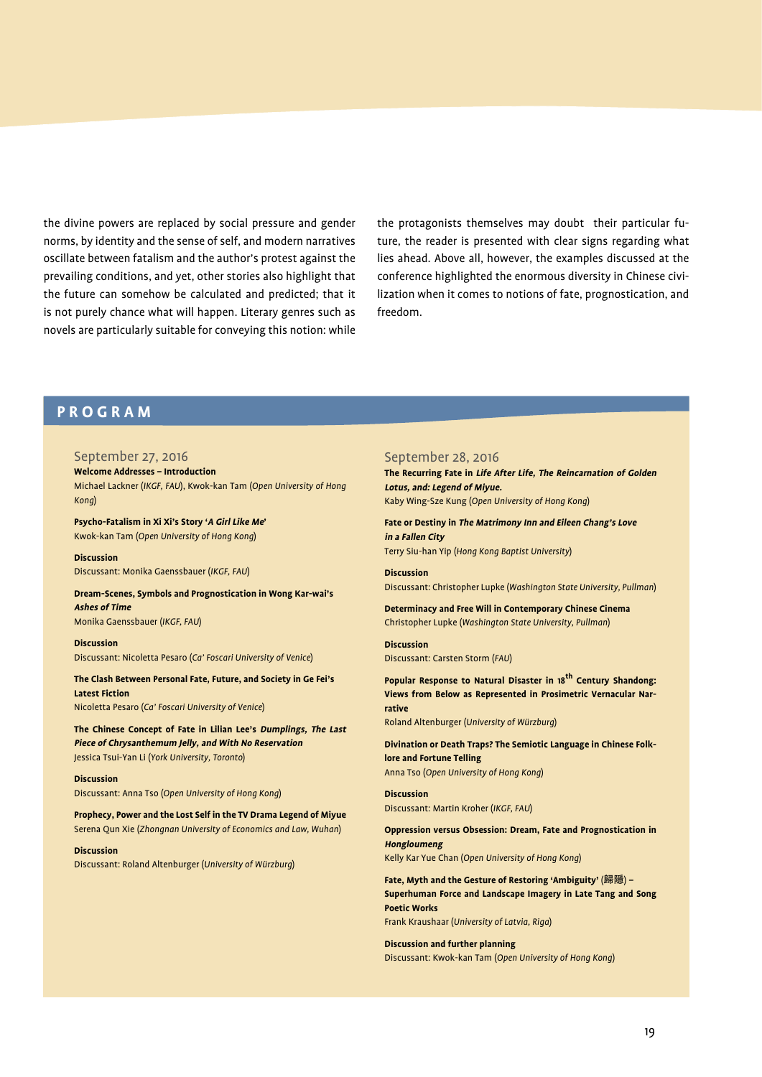the divine powers are replaced by social pressure and gender norms, by identity and the sense of self, and modern narratives oscillate between fatalism and the author's protest against the prevailing conditions, and yet, other stories also highlight that the future can somehow be calculated and predicted; that it is not purely chance what will happen. Literary genres such as novels are particularly suitable for conveying this notion: while the protagonists themselves may doubt their particular future, the reader is presented with clear signs regarding what lies ahead. Above all, however, the examples discussed at the conference highlighted the enormous diversity in Chinese civilization when it comes to notions of fate, prognostication, and freedom.

# **PROGRAM**

## September 27, 2016

**Welcome Addresses – Introduction**  Michael Lackner (*IKGF, FAU*), Kwok-kan Tam (*Open University of Hong Kong*)

**Psycho-Fatalism in Xi Xi's Story 'A Girl Like Me'** Kwok-kan Tam (*Open University of Hong Kong*)

**Discussion**  Discussant: Monika Gaenssbauer (*IKGF, FAU*)

**Dream-Scenes, Symbols and Prognostication in Wong Kar-wai's Ashes of Time** Monika Gaenssbauer (*IKGF, FAU*)

**Discussion** Discussant: Nicoletta Pesaro (*Ca' Foscari University of Venice*)

**The Clash Between Personal Fate, Future, and Society in Ge Fei's Latest Fiction** Nicoletta Pesaro (*Ca' Foscari University of Venice*)

**The Chinese Concept of Fate in Lilian Lee's Dumplings, The Last Piece of Chrysanthemum Jelly, and With No Reservation** Jessica Tsui-Yan Li (*York University, Toronto*)

**Discussion**  Discussant: Anna Tso (*Open University of Hong Kong*)

**Prophecy, Power and the Lost Self in the TV Drama Legend of Miyue**  Serena Qun Xie (*Zhongnan University of Economics and Law, Wuhan*)

### **Discussion**

Discussant: Roland Altenburger (*University of Würzburg*)

### September 28, 2016

**The Recurring Fate in Life After Life, The Reincarnation of Golden Lotus, and: Legend of Miyue.**  Kaby Wing-Sze Kung (*Open University of Hong Kong*)

**Fate or Destiny in The Matrimony Inn and Eileen Chang's Love in a Fallen City**

Terry Siu-han Yip (*Hong Kong Baptist University*)

**Discussion** Discussant: Christopher Lupke (*Washington State University, Pullman*)

**Determinacy and Free Will in Contemporary Chinese Cinema**  Christopher Lupke (*Washington State University, Pullman*)

**Discussion** Discussant: Carsten Storm (*FAU*)

**Popular Response to Natural Disaster in 18th Century Shandong: Views from Below as Represented in Prosimetric Vernacular Narrative** 

Roland Altenburger (*University of Würzburg*)

**Divination or Death Traps? The Semiotic Language in Chinese Folklore and Fortune Telling** Anna Tso (*Open University of Hong Kong*)

**Discussion** Discussant: Martin Kroher (*IKGF, FAU*)

**Oppression versus Obsession: Dream, Fate and Prognostication in Hongloumeng**  Kelly Kar Yue Chan (*Open University of Hong Kong*)

**Fate, Myth and the Gesture of Restoring 'Ambiguity'** (歸隱) **– Superhuman Force and Landscape Imagery in Late Tang and Song Poetic Works** Frank Kraushaar (*University of Latvia, Riga*)

**Discussion and further planning** 

Discussant: Kwok-kan Tam (*Open University of Hong Kong*)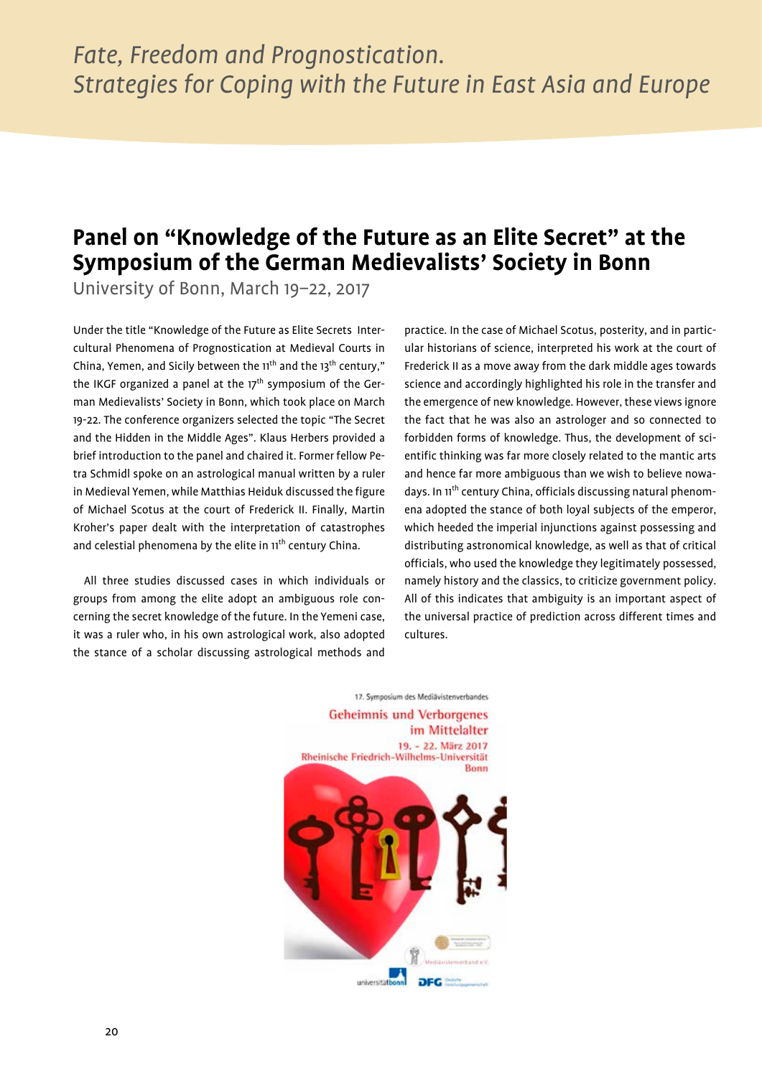# **Panel on "Knowledge of the Future as an Elite Secret" at the Symposium of the German Medievalists' Society in Bonn**

University of Bonn, March 19–22, 2017

Under the title "Knowledge of the Future as Elite Secrets Intercultural Phenomena of Prognostication at Medieval Courts in China, Yemen, and Sicily between the  $11<sup>th</sup>$  and the  $13<sup>th</sup>$  century," the IKGF organized a panel at the  $17<sup>th</sup>$  symposium of the German Medievalists' Society in Bonn, which took place on March 19-22. The conference organizers selected the topic "The Secret and the Hidden in the Middle Ages". Klaus Herbers provided a brief introduction to the panel and chaired it. Former fellow Petra Schmidl spoke on an astrological manual written by a ruler in Medieval Yemen, while Matthias Heiduk discussed the figure of Michael Scotus at the court of Frederick II. Finally, Martin Kroher's paper dealt with the interpretation of catastrophes and celestial phenomena by the elite in 11<sup>th</sup> century China.

All three studies discussed cases in which individuals or groups from among the elite adopt an ambiguous role concerning the secret knowledge of the future. In the Yemeni case, it was a ruler who, in his own astrological work, also adopted the stance of a scholar discussing astrological methods and

practice. In the case of Michael Scotus, posterity, and in particular historians of science, interpreted his work at the court of Frederick II as a move away from the dark middle ages towards science and accordingly highlighted his role in the transfer and the emergence of new knowledge. However, these views ignore the fact that he was also an astrologer and so connected to forbidden forms of knowledge. Thus, the development of scientific thinking was far more closely related to the mantic arts and hence far more ambiguous than we wish to believe nowadays. In 11<sup>th</sup> century China, officials discussing natural phenomena adopted the stance of both loyal subjects of the emperor, which heeded the imperial injunctions against possessing and distributing astronomical knowledge, as well as that of critical officials, who used the knowledge they legitimately possessed, namely history and the classics, to criticize government policy. All of this indicates that ambiguity is an important aspect of the universal practice of prediction across different times and cultures.

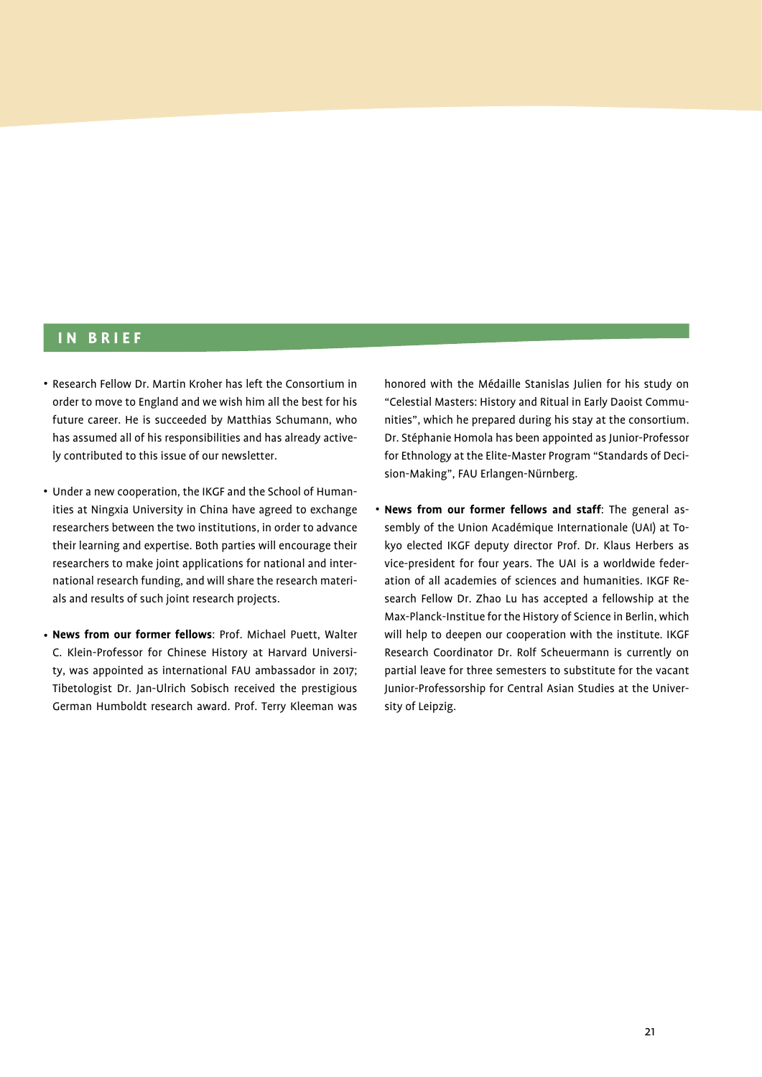# **IN BRIEF**

- Research Fellow Dr. Martin Kroher has left the Consortium in order to move to England and we wish him all the best for his future career. He is succeeded by Matthias Schumann, who has assumed all of his responsibilities and has already actively contributed to this issue of our newsletter.
- Under a new cooperation, the IKGF and the School of Humanities at Ningxia University in China have agreed to exchange researchers between the two institutions, in order to advance their learning and expertise. Both parties will encourage their researchers to make joint applications for national and international research funding, and will share the research materials and results of such joint research projects.
- **News from our former fellows**: Prof. Michael Puett, Walter C. Klein-Professor for Chinese History at Harvard University, was appointed as international FAU ambassador in 2017; Tibetologist Dr. Jan-Ulrich Sobisch received the prestigious German Humboldt research award. Prof. Terry Kleeman was

honored with the Médaille Stanislas Julien for his study on "Celestial Masters: History and Ritual in Early Daoist Communities", which he prepared during his stay at the consortium. Dr. Stéphanie Homola has been appointed as Junior-Professor for Ethnology at the Elite-Master Program "Standards of Decision-Making", FAU Erlangen-Nürnberg.

**News from our former fellows and staff**: The general as-• sembly of the Union Académique Internationale (UAI) at Tokyo elected IKGF deputy director Prof. Dr. Klaus Herbers as vice-president for four years. The UAI is a worldwide federation of all academies of sciences and humanities. IKGF Research Fellow Dr. Zhao Lu has accepted a fellowship at the Max-Planck-Institue for the History of Science in Berlin, which will help to deepen our cooperation with the institute. IKGF Research Coordinator Dr. Rolf Scheuermann is currently on partial leave for three semesters to substitute for the vacant Junior-Professorship for Central Asian Studies at the University of Leipzig.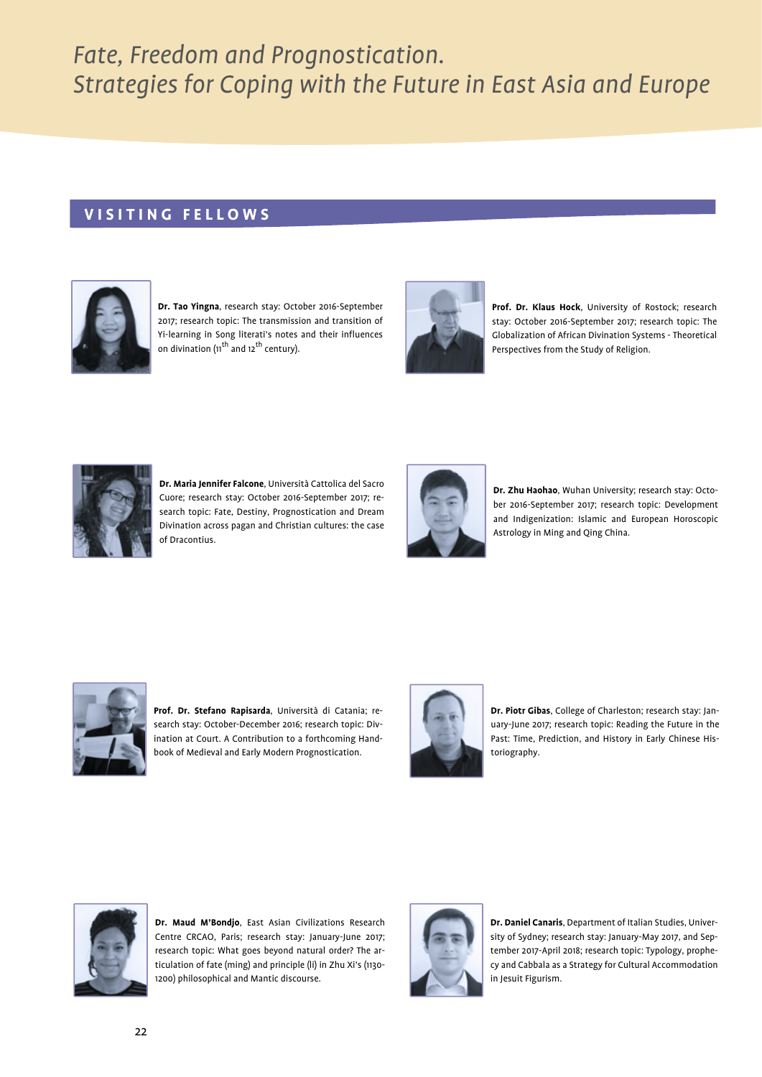# **VISITING FELLOWS**



**Dr. Tao Yingna**, research stay: October 2016-September 2017; research topic: The transmission and transition of Yi-learning in Song literati's notes and their influences on divination (11<sup>th</sup> and 12<sup>th</sup> century).



**Prof. Dr. Klaus Hock**, University of Rostock; research stay: October 2016-September 2017; research topic: The Globalization of African Divination Systems - Theoretical Perspectives from the Study of Religion.



**Dr. Maria Jennifer Falcone**, Università Cattolica del Sacro Cuore; research stay: October 2016-September 2017; research topic: Fate, Destiny, Prognostication and Dream Divination across pagan and Christian cultures: the case of Dracontius.



**Dr. Zhu Haohao**, Wuhan University; research stay: October 2016-September 2017; research topic: Development and Indigenization: Islamic and European Horoscopic Astrology in Ming and Qing China.



**Prof. Dr. Stefano Rapisarda**, Università di Catania; research stay: October-December 2016; research topic: Divination at Court. A Contribution to a forthcoming Handbook of Medieval and Early Modern Prognostication.



**Dr. Piotr Gibas**, College of Charleston; research stay: January-June 2017; research topic: Reading the Future in the Past: Time, Prediction, and History in Early Chinese Historiography.



**Dr. Maud M'Bondjo**, East Asian Civilizations Research Centre CRCAO, Paris; research stay: January-June 2017; research topic: What goes beyond natural order? The articulation of fate (ming) and principle (li) in Zhu Xi's (1130- 1200) philosophical and Mantic discourse.



**Dr. Daniel Canaris**, Department of Italian Studies, University of Sydney; research stay: January-May 2017, and September 2017-April 2018; research topic: Typology, prophecy and Cabbala as a Strategy for Cultural Accommodation in Jesuit Figurism.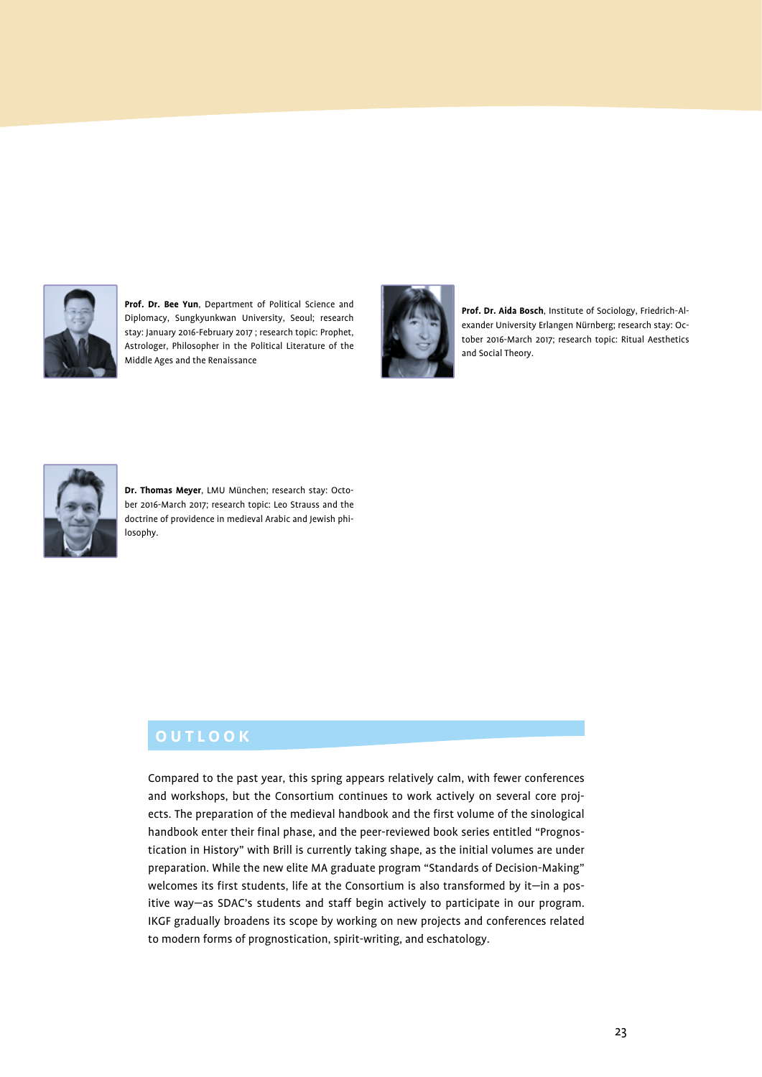

**Prof. Dr. Bee Yun**, Department of Political Science and Diplomacy, Sungkyunkwan University, Seoul; research stay: January 2016-February 2017 ; research topic: Prophet, Astrologer, Philosopher in the Political Literature of the Middle Ages and the Renaissance



**Prof. Dr. Aida Bosch**, Institute of Sociology, Friedrich-Alexander University Erlangen Nürnberg; research stay: October 2016-March 2017; research topic: Ritual Aesthetics and Social Theory.



**Dr. Thomas Meyer**, LMU München; research stay: October 2016-March 2017; research topic: Leo Strauss and the doctrine of providence in medieval Arabic and Jewish philosophy.

# **OUTLOOK**

Compared to the past year, this spring appears relatively calm, with fewer conferences and workshops, but the Consortium continues to work actively on several core projects. The preparation of the medieval handbook and the first volume of the sinological handbook enter their final phase, and the peer-reviewed book series entitled "Prognostication in History" with Brill is currently taking shape, as the initial volumes are under preparation. While the new elite MA graduate program "Standards of Decision-Making" welcomes its first students, life at the Consortium is also transformed by it—in a positive way—as SDAC's students and staff begin actively to participate in our program. IKGF gradually broadens its scope by working on new projects and conferences related to modern forms of prognostication, spirit-writing, and eschatology.